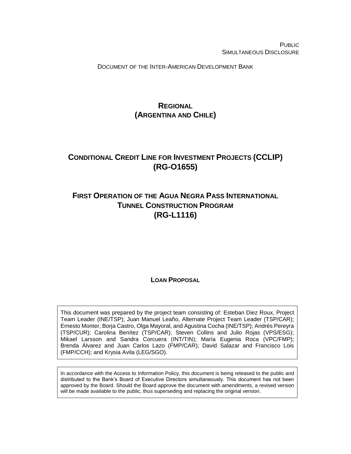PUBLIC SIMULTANEOUS DISCLOSURE

DOCUMENT OF THE INTER-AMERICAN DEVELOPMENT BANK

# **REGIONAL (ARGENTINA AND CHILE)**

# **CONDITIONAL CREDIT LINE FOR INVESTMENT PROJECTS (CCLIP) (RG-O1655)**

# **FIRST OPERATION OF THE AGUA NEGRA PASS INTERNATIONAL TUNNEL CONSTRUCTION PROGRAM (RG-L1116)**

**LOAN PROPOSAL**

This document was prepared by the project team consisting of: Esteban Diez Roux, Project Team Leader (INE/TSP); Juan Manuel Leaño, Alternate Project Team Leader (TSP/CAR); Ernesto Monter, Borja Castro, Olga Mayoral, and Agustina Cocha (INE/TSP); Andrés Pereyra (TSP/CUR); Carolina Benítez (TSP/CAR); Steven Collins and Julio Rojas (VPS/ESG); Mikael Larsson and Sandra Corcuera (INT/TIN); María Eugenia Roca (VPC/FMP); Brenda Álvarez and Juan Carlos Lazo (FMP/CAR); David Salazar and Francisco Lois (FMP/CCH); and Krysia Avila (LEG/SGO).

In accordance with the Access to Information Policy, this document is being released to the public and distributed to the Bank's Board of Executive Directors simultaneously. This document has not been approved by the Board. Should the Board approve the document with amendments, a revised version will be made available to the public, thus superseding and replacing the original version.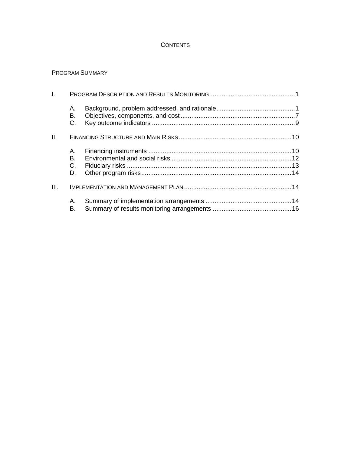## **CONTENTS**

### PROGRAM SUMMARY

| $\mathbf{L}$ |                |  |
|--------------|----------------|--|
|              | А.<br>В.<br>C. |  |
| Ш.           |                |  |
|              | А.             |  |
|              | В.             |  |
|              | C.             |  |
|              | D.             |  |
| III.         |                |  |
|              | А.             |  |
|              | В.             |  |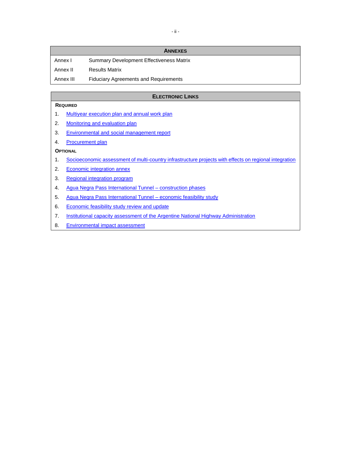|           | <b>ANNEXES</b>                                  |
|-----------|-------------------------------------------------|
| Annex I   | <b>Summary Development Effectiveness Matrix</b> |
| Annex II  | <b>Results Matrix</b>                           |
| Annex III | <b>Fiduciary Agreements and Requirements</b>    |
|           |                                                 |

#### **ELECTRONIC LINKS**

#### **REQUIRED**

- 1. [Multiyear execution plan and annual work plan](https://idbg.sharepoint.com/teams/EZ-RG-LON/RG-L1116/_layouts/15/DocIdRedir.aspx?ID=EZSHARE-915975238-59)
- 2. [Monitoring](https://idbg.sharepoint.com/teams/EZ-RG-LON/RG-L1116/_layouts/15/DocIdRedir.aspx?ID=EZSHARE-915975238-78) and evaluation plan
- 3. [Environmental and social management report](https://idbg.sharepoint.com/teams/EZ-RG-LON/RG-L1116/_layouts/15/DocIdRedir.aspx?ID=EZSHARE-915975238-91)
- 4. [Procurement](https://idbg.sharepoint.com/teams/EZ-RG-LON/RG-L1116/_layouts/15/DocIdRedir.aspx?ID=EZSHARE-915975238-92) plan

### **OPTIONAL**

- 1. [Socioeconomic assessment of multi-country infrastructure projects with effects on regional integration](https://idbg.sharepoint.com/teams/EZ-RG-LON/RG-L1116/_layouts/15/DocIdRedir.aspx?ID=EZSHARE-915975238-64)
- 2. [Economic](https://idbg.sharepoint.com/teams/EZ-RG-LON/RG-L1116/_layouts/15/DocIdRedir.aspx?ID=EZSHARE-915975238-57) integration annex
- 3. [Regional integration program](https://idbg.sharepoint.com/teams/EZ-RG-LON/RG-L1116/_layouts/15/DocIdRedir.aspx?ID=EZSHARE-915975238-62)
- 4. [Agua Negra Pass International Tunnel](http://idbdocs.iadb.org/wsdocs/getDocument.aspx?DOCNUM=EZSHARE-915975238-63) construction phases
- 5. [Agua Negra Pass International Tunnel](http://idbdocs.iadb.org/wsdocs/getDocument.aspx?DOCNUM=EZSHARE-915975238-67) economic feasibility study
- 6. [Economic feasibility study review and update](http://idbdocs.iadb.org/wsdocs/getDocument.aspx?DOCNUM=EZSHARE-915975238-65)
- 7. [Institutional capacity assessment of the Argentine National Highway Administration](https://idbg.sharepoint.com/teams/EZ-RG-LON/RG-L1116/_layouts/15/DocIdRedir.aspx?ID=EZSHARE-915975238-89)
- 8. [Environmental](https://idbg.sharepoint.com/teams/EZ-RG-LON/RG-L1116/_layouts/15/DocIdRedir.aspx?ID=EZSHARE-1683576236-6) impact assessment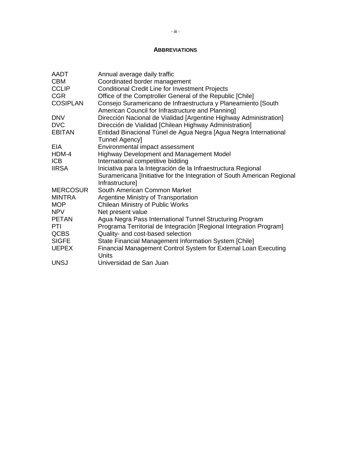### **ABBREVIATIONS**

| AADT            | Annual average daily traffic                                            |
|-----------------|-------------------------------------------------------------------------|
| <b>CBM</b>      | Coordinated border management                                           |
| <b>CCLIP</b>    | <b>Conditional Credit Line for Investment Projects</b>                  |
| <b>CGR</b>      | Office of the Comptroller General of the Republic [Chile]               |
| <b>COSIPLAN</b> | Consejo Suramericano de Infraestructura y Planeamiento [South           |
|                 | American Council for Infrastructure and Planning]                       |
| <b>DNV</b>      | Dirección Nacional de Vialidad [Argentine Highway Administration]       |
| <b>DVC</b>      | Dirección de Vialidad [Chilean Highway Administration]                  |
| <b>EBITAN</b>   | Entidad Binacional Túnel de Agua Negra [Agua Negra International        |
|                 | <b>Tunnel Agency]</b>                                                   |
| <b>EIA</b>      | Environmental impact assessment                                         |
| HDM-4           | Highway Development and Management Model                                |
| <b>ICB</b>      | International competitive bidding                                       |
| <b>IIRSA</b>    | Iniciativa para la Integración de la Infraestructura Regional           |
|                 | Suramericana [Initiative for the Integration of South American Regional |
|                 | Infrastructure]                                                         |
| <b>MERCOSUR</b> | South American Common Market                                            |
| <b>MINTRA</b>   | Argentine Ministry of Transportation                                    |
| <b>MOP</b>      | <b>Chilean Ministry of Public Works</b>                                 |
| <b>NPV</b>      | Net present value                                                       |
| <b>PETAN</b>    | Agua Negra Pass International Tunnel Structuring Program                |
| <b>PTI</b>      | Programa Territorial de Integración [Regional Integration Program]      |
| <b>QCBS</b>     | Quality- and cost-based selection                                       |
| <b>SIGFE</b>    | State Financial Management Information System [Chile]                   |
| <b>UEPEX</b>    | Financial Management Control System for External Loan Executing         |
|                 | Units                                                                   |
| <b>UNSJ</b>     | Universidad de San Juan                                                 |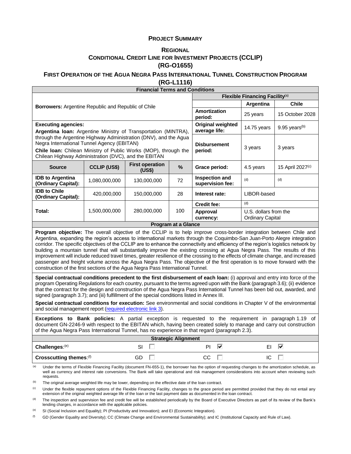### **PROJECT SUMMARY**

### **REGIONAL CONDITIONAL CREDIT LINE FOR INVESTMENT PROJECTS (CCLIP) (RG-O1655)**

# **FIRST OPERATION OF THE AGUA NEGRA PASS INTERNATIONAL TUNNEL CONSTRUCTION PROGRAM**

**(RG-L1116)**

| <b>Financial Terms and Conditions</b>                                                                                                                                                                                                                                                                                                                                                                                                                                                                                                                                                                                                                                                                                                                                                                                                                                  |                                                                                                                                                                                                                                                                                     |                                  |                                           |                                            |                                                  |                  |  |
|------------------------------------------------------------------------------------------------------------------------------------------------------------------------------------------------------------------------------------------------------------------------------------------------------------------------------------------------------------------------------------------------------------------------------------------------------------------------------------------------------------------------------------------------------------------------------------------------------------------------------------------------------------------------------------------------------------------------------------------------------------------------------------------------------------------------------------------------------------------------|-------------------------------------------------------------------------------------------------------------------------------------------------------------------------------------------------------------------------------------------------------------------------------------|----------------------------------|-------------------------------------------|--------------------------------------------|--------------------------------------------------|------------------|--|
|                                                                                                                                                                                                                                                                                                                                                                                                                                                                                                                                                                                                                                                                                                                                                                                                                                                                        |                                                                                                                                                                                                                                                                                     |                                  |                                           | Flexible Financing Facility <sup>(a)</sup> |                                                  |                  |  |
| Borrowers: Argentine Republic and Republic of Chile                                                                                                                                                                                                                                                                                                                                                                                                                                                                                                                                                                                                                                                                                                                                                                                                                    |                                                                                                                                                                                                                                                                                     |                                  |                                           | Argentina                                  | <b>Chile</b>                                     |                  |  |
|                                                                                                                                                                                                                                                                                                                                                                                                                                                                                                                                                                                                                                                                                                                                                                                                                                                                        |                                                                                                                                                                                                                                                                                     |                                  |                                           | Amortization<br>period:                    | 25 years                                         | 15 October 2028  |  |
| <b>Executing agencies:</b><br>Argentina Ioan: Argentine Ministry of Transportation (MINTRA),                                                                                                                                                                                                                                                                                                                                                                                                                                                                                                                                                                                                                                                                                                                                                                           |                                                                                                                                                                                                                                                                                     |                                  | <b>Original weighted</b><br>average life: | 14.75 years                                | 9.95 years <sup>(b)</sup>                        |                  |  |
| through the Argentine Highway Administration (DNV), and the Agua<br>Negra International Tunnel Agency (EBITAN)<br>Chile Ioan: Chilean Ministry of Public Works (MOP), through the<br>Chilean Highway Administration (DVC), and the EBITAN                                                                                                                                                                                                                                                                                                                                                                                                                                                                                                                                                                                                                              |                                                                                                                                                                                                                                                                                     |                                  | <b>Disbursement</b><br>period:            | 3 years                                    | 3 years                                          |                  |  |
| <b>Source</b>                                                                                                                                                                                                                                                                                                                                                                                                                                                                                                                                                                                                                                                                                                                                                                                                                                                          | <b>CCLIP (US\$)</b>                                                                                                                                                                                                                                                                 | <b>First operation</b><br>(US\$) | %                                         | Grace period:                              | 4.5 years                                        | 15 April 2027(c) |  |
| <b>IDB to Argentina</b><br>(Ordinary Capital):                                                                                                                                                                                                                                                                                                                                                                                                                                                                                                                                                                                                                                                                                                                                                                                                                         | 1,080,000,000                                                                                                                                                                                                                                                                       | 130,000,000                      | 72                                        | Inspection and<br>supervision fee:         | (d)                                              | (d)              |  |
| <b>IDB to Chile</b><br>(Ordinary Capital):                                                                                                                                                                                                                                                                                                                                                                                                                                                                                                                                                                                                                                                                                                                                                                                                                             | 420,000,000                                                                                                                                                                                                                                                                         | 150,000,000                      | 28                                        | Interest rate:                             | LIBOR-based                                      |                  |  |
|                                                                                                                                                                                                                                                                                                                                                                                                                                                                                                                                                                                                                                                                                                                                                                                                                                                                        |                                                                                                                                                                                                                                                                                     |                                  |                                           | Credit fee:                                | (d)                                              |                  |  |
| Total:                                                                                                                                                                                                                                                                                                                                                                                                                                                                                                                                                                                                                                                                                                                                                                                                                                                                 | 1,500,000,000                                                                                                                                                                                                                                                                       | 280,000,000                      | 100                                       | Approval<br>currency:                      | U.S. dollars from the<br><b>Ordinary Capital</b> |                  |  |
|                                                                                                                                                                                                                                                                                                                                                                                                                                                                                                                                                                                                                                                                                                                                                                                                                                                                        |                                                                                                                                                                                                                                                                                     |                                  | <b>Program at a Glance</b>                |                                            |                                                  |                  |  |
| Program objective: The overall objective of the CCLIP is to help improve cross-border integration between Chile and<br>Argentina, expanding the region's access to international markets through the Coquimbo-San Juan-Porto Alegre integration<br>corridor. The specific objectives of the CCLIP are to enhance the connectivity and efficiency of the region's logistics network by<br>building a mountain tunnel that will substantially improve the existing crossing at Agua Negra Pass. The results of this<br>improvement will include reduced travel times, greater resilience of the crossing to the effects of climate change, and increased<br>passenger and freight volume across the Agua Negra Pass. The objective of the first operation is to move forward with the<br>construction of the first sections of the Agua Negra Pass International Tunnel. |                                                                                                                                                                                                                                                                                     |                                  |                                           |                                            |                                                  |                  |  |
| Special contractual conditions precedent to the first disbursement of each loan: (i) approval and entry into force of the<br>program Operating Regulations for each country, pursuant to the terms agreed upon with the Bank (paragraph 3.6); (ii) evidence<br>that the contract for the design and construction of the Agua Negra Pass International Tunnel has been bid out, awarded, and<br>signed (paragraph 3.7); and (iii) fulfillment of the special conditions listed in Annex III.<br>Special contractual conditions for execution: See environmental and social conditions in Chapter V of the environmental<br>and social management report (required electronic link 3).                                                                                                                                                                                   |                                                                                                                                                                                                                                                                                     |                                  |                                           |                                            |                                                  |                  |  |
| Exceptions to Bank policies: A partial exception is requested to the requirement in paragraph 1.19 of<br>document GN-2246-9 with respect to the EBITAN which, having been created solely to manage and carry out construction<br>of the Agua Negra Pass International Tunnel, has no experience in that regard (paragraph 2.3).                                                                                                                                                                                                                                                                                                                                                                                                                                                                                                                                        |                                                                                                                                                                                                                                                                                     |                                  |                                           |                                            |                                                  |                  |  |
| <b>Strategic Alignment</b>                                                                                                                                                                                                                                                                                                                                                                                                                                                                                                                                                                                                                                                                                                                                                                                                                                             |                                                                                                                                                                                                                                                                                     |                                  |                                           |                                            |                                                  |                  |  |
| Challenges:(e)                                                                                                                                                                                                                                                                                                                                                                                                                                                                                                                                                                                                                                                                                                                                                                                                                                                         |                                                                                                                                                                                                                                                                                     | SI                               | PI                                        | ΕI                                         | M                                                |                  |  |
| Crosscutting themes: (f)                                                                                                                                                                                                                                                                                                                                                                                                                                                                                                                                                                                                                                                                                                                                                                                                                                               |                                                                                                                                                                                                                                                                                     | GD<br>H                          |                                           | CC                                         | IC                                               |                  |  |
| (a)<br>Under the terms of Flexible Financing Facility (document FN-655-1), the borrower has the option of requesting changes to the amortization schedule, as<br>well as currency and interest rate conversions. The Bank will take operational and risk management considerations into account when reviewing such<br>requests.                                                                                                                                                                                                                                                                                                                                                                                                                                                                                                                                       |                                                                                                                                                                                                                                                                                     |                                  |                                           |                                            |                                                  |                  |  |
| (b)                                                                                                                                                                                                                                                                                                                                                                                                                                                                                                                                                                                                                                                                                                                                                                                                                                                                    | The original average weighted life may be lower, depending on the effective date of the loan contract.                                                                                                                                                                              |                                  |                                           |                                            |                                                  |                  |  |
| (c)                                                                                                                                                                                                                                                                                                                                                                                                                                                                                                                                                                                                                                                                                                                                                                                                                                                                    | Under the flexible repayment options of the Flexible Financing Facility, changes to the grace period are permitted provided that they do not entail any<br>extension of the original weighted average life of the loan or the last payment date as documented in the loan contract. |                                  |                                           |                                            |                                                  |                  |  |

<sup>(d)</sup> The inspection and supervision fee and credit fee will be established periodically by the Board of Executive Directors as part of its review of the Bank's lending charges, in accordance with the applicable policies.

(e) SI (Social Inclusion and Equality); PI (Productivity and Innovation); and EI (Economic Integration).

(f) GD (Gender Equality and Diversity); CC (Climate Change and Environmental Sustainability); and IC (Institutional Capacity and Rule of Law).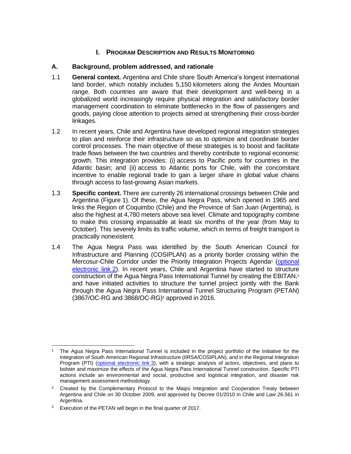# **I. PROGRAM DESCRIPTION AND RESULTS MONITORING**

### **A. Background, problem addressed, and rationale**

- 1.1 **General context.** Argentina and Chile share South America's longest international land border, which notably includes 5,150 kilometers along the Andes Mountain range. Both countries are aware that their development and well-being in a globalized world increasingly require physical integration and satisfactory border management coordination to eliminate bottlenecks in the flow of passengers and goods, paying close attention to projects aimed at strengthening their cross-border linkages.
- 1.2 In recent years, Chile and Argentina have developed regional integration strategies to plan and reinforce their infrastructure so as to optimize and coordinate border control processes. The main objective of these strategies is to boost and facilitate trade flows between the two countries and thereby contribute to regional economic growth. This integration provides: (i) access to Pacific ports for countries in the Atlantic basin; and (ii) access to Atlantic ports for Chile, with the concomitant incentive to enable regional trade to gain a larger share in global value chains through access to fast-growing Asian markets.
- 1.3 **Specific context.** There are currently 26 international crossings between Chile and Argentina (Figure 1). Of these, the Agua Negra Pass, which opened in 1965 and links the Region of Coquimbo (Chile) and the Province of San Juan (Argentina), is also the highest at 4,780 meters above sea level. Climate and topography combine to make this crossing impassable at least six months of the year (from May to October). This severely limits its traffic volume, which in terms of freight transport is practically nonexistent.
- <span id="page-6-0"></span>1.4 The Agua Negra Pass was identified by the South American Council for Infrastructure and Planning (COSIPLAN) as a priority border crossing within the Mercosur-Chile Corridor under the Priority Integration Projects Agenda<sup>1</sup> (optional [electronic link](http://idbdocs.iadb.org/wsdocs/getDocument.aspx?DOCNUM=EZSHARE-915975238-57) 2). In recent years, Chile and Argentina have started to structure construction of the Agua Negra Pass International Tunnel by creating the EBITAN,<sup>2</sup> and have initiated activities to structure the tunnel project jointly with the Bank through the Agua Negra Pass International Tunnel Structuring Program (PETAN) [\(3867/OC-RG](http://www.iadb.org/es/proyectos/project-information-page,1303.html?id=RG-L1074) and 3868/OC-RG)<sup>3</sup> approved in 2016.

 <sup>1</sup> The Agua Negra Pass International Tunnel is included in the project portfolio of the Initiative for the Integration of South American Regional Infrastructure (IIRSA/COSIPLAN), and in the Regional Integration Program (PTI) [\(optional electronic link](http://idbdocs.iadb.org/wsdocs/getDocument.aspx?DOCNUM=EZSHARE-915975238-62) 3), with a strategic analysis of actors, objectives, and plans to bolster and maximize the effects of the Agua Negra Pass International Tunnel construction. Specific PTI actions include an environmental and social, productive and logistical integration, and disaster risk management assessment methodology.

 $2$  Created by the Complementary Protocol to the Maipú Integration and Cooperation Treaty between Argentina and Chile on 30 October 2009, and approved by Decree 01/2010 in Chile and Law 26,561 in Argentina.

<sup>&</sup>lt;sup>3</sup> Execution of the PETAN will begin in the final quarter of 2017.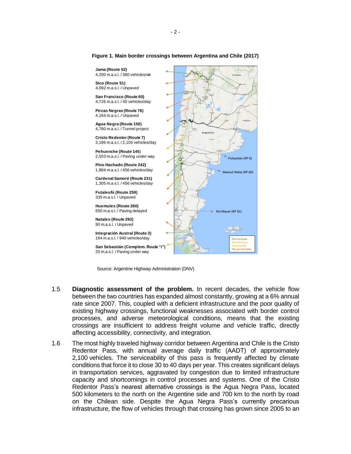

**Figure 1. Main border crossings between Argentina and Chile (2017)**

Source: Argentine Highway Administration (DNV)

- 1.5 **Diagnostic assessment of the problem.** In recent decades, the vehicle flow between the two countries has expanded almost constantly, growing at a 6% annual rate since 2007. This, coupled with a deficient infrastructure and the poor quality of existing highway crossings, functional weaknesses associated with border control processes, and adverse meteorological conditions, means that the existing crossings are insufficient to address freight volume and vehicle traffic, directly affecting accessibility, connectivity, and integration.
- <span id="page-7-0"></span>1.6 The most highly traveled highway corridor between Argentina and Chile is the Cristo Redentor Pass, with annual average daily traffic (AADT) of approximately 2,100 vehicles. The serviceability of this pass is frequently affected by climate conditions that force it to close 30 to 40 days per year. This creates significant delays in transportation services, aggravated by congestion due to limited infrastructure capacity and shortcomings in control processes and systems. One of the Cristo Redentor Pass's nearest alternative crossings is the Agua Negra Pass, located 500 kilometers to the north on the Argentine side and 700 km to the north by road on the Chilean side. Despite the Agua Negra Pass's currently precarious infrastructure, the flow of vehicles through that crossing has grown since 2005 to an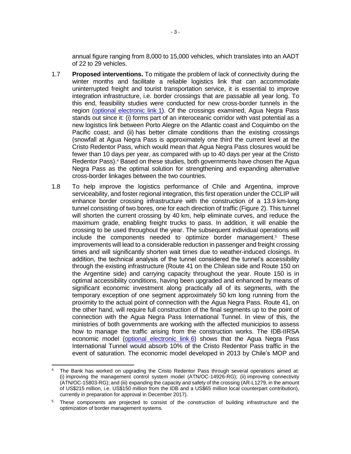annual figure ranging from 8,000 to 15,000 vehicles, which translates into an AADT of 22 to 29 vehicles.

- 1.7 **Proposed interventions.** To mitigate the problem of lack of connectivity during the winter months and facilitate a reliable logistics link that can accommodate uninterrupted freight and tourist transportation service, it is essential to improve integration infrastructure, i.e. border crossings that are passable all year long. To this end, feasibility studies were conducted for new cross-border tunnels in the region [\(optional electronic link](https://idbg.sharepoint.com/teams/EZ-RG-LON/RG-L1116/_layouts/15/DocIdRedir.aspx?ID=EZSHARE-915975238-64) 1). Of the crossings examined, Agua Negra Pass stands out since it: (i) forms part of an interoceanic corridor with vast potential as a new logistics link between Porto Alegre on the Atlantic coast and Coquimbo on the Pacific coast; and (ii) has better climate conditions than the existing crossings (snowfall at Agua Negra Pass is approximately one third the current level at the Cristo Redentor Pass, which would mean that Agua Negra Pass closures would be fewer than 10 days per year, as compared with up to 40 days per year at the Cristo Redentor Pass).<sup>4</sup> Based on these studies, both governments have chosen the Agua Negra Pass as the optimal solution for strengthening and expanding alternative cross-border linkages between the two countries.
- 1.8 To help improve the logistics performance of Chile and Argentina, improve serviceability, and foster regional integration, this first operation under the CCLIP will enhance border crossing infrastructure with the construction of a 13.9 km-long tunnel consisting of two bores, one for each direction of traffic (Figure 2). This tunnel will shorten the current crossing by 40 km, help eliminate curves, and reduce the maximum grade, enabling freight trucks to pass. In addition, it will enable the crossing to be used throughout the year. The subsequent individual operations will include the components needed to optimize border management.<sup>5</sup> These improvements will lead to a considerable reduction in passenger and freight crossing times and will significantly shorten wait times due to weather-induced closings. In addition, the technical analysis of the tunnel considered the tunnel's accessibility through the existing infrastructure (Route 41 on the Chilean side and Route 150 on the Argentine side) and carrying capacity throughout the year. Route 150 is in optimal accessibility conditions, having been upgraded and enhanced by means of significant economic investment along practically all of its segments, with the temporary exception of one segment approximately 50 km long running from the proximity to the actual point of connection with the Agua Negra Pass. Route 41, on the other hand, will require full construction of the final segments up to the point of connection with the Agua Negra Pass International Tunnel. In view of this, the ministries of both governments are working with the affected municipios to assess how to manage the traffic arising from the construction works. The IDB-IIRSA economic model [\(optional electronic link](http://idbdocs.iadb.org/wsdocs/getDocument.aspx?DOCNUM=EZSHARE-915975238-65) 6) shows that the Agua Negra Pass International Tunnel would absorb 10% of the Cristo Redentor Pass traffic in the event of saturation. The economic model developed in 2013 by Chile's MOP and

The Bank has worked on upgrading the Cristo Redentor Pass through several operations aimed at: (i) improving the management control system model (ATN/OC-14926-RG); (ii) improving connectivity (ATN/OC-15803-RG); and (iii) expanding the capacity and safety of the crossing (AR-L1279, in the amount of US\$215 million, i.e. US\$150 million from the IDB and a US\$65 million local counterpart contribution), currently in preparation for approval in December 2017).

<sup>5</sup> These components are projected to consist of the construction of building infrastructure and the optimization of border management systems.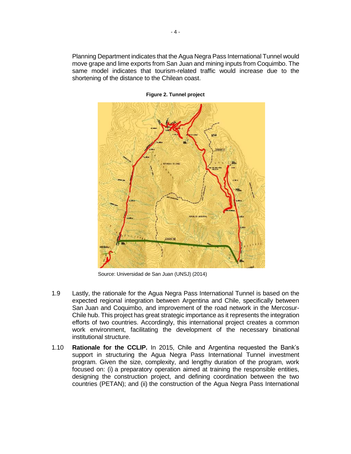Planning Department indicates that the Agua Negra Pass International Tunnel would move grape and lime exports from San Juan and mining inputs from Coquimbo. The same model indicates that tourism-related traffic would increase due to the shortening of the distance to the Chilean coast.



**Figure 2. Tunnel project**

Source: Universidad de San Juan (UNSJ) (2014)

- 1.9 Lastly, the rationale for the Agua Negra Pass International Tunnel is based on the expected regional integration between Argentina and Chile, specifically between San Juan and Coquimbo, and improvement of the road network in the Mercosur-Chile hub. This project has great strategic importance as it represents the integration efforts of two countries. Accordingly, this international project creates a common work environment, facilitating the development of the necessary binational institutional structure.
- 1.10 **Rationale for the CCLIP.** In 2015, Chile and Argentina requested the Bank's support in structuring the Agua Negra Pass International Tunnel investment program. Given the size, complexity, and lengthy duration of the program, work focused on: (i) a preparatory operation aimed at training the responsible entities, designing the construction project, and defining coordination between the two countries (PETAN); and (ii) the construction of the Agua Negra Pass International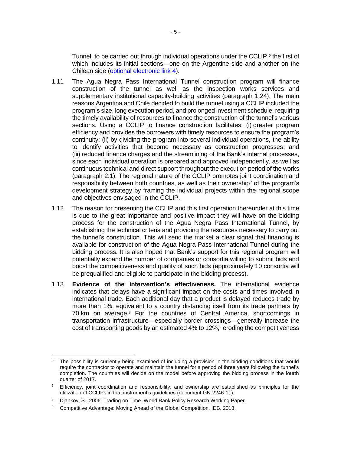Tunnel, to be carried out through individual operations under the CCLIP, $6$  the first of which includes its initial sections—one on the Argentine side and another on the Chilean side [\(optional electronic link](http://idbdocs.iadb.org/wsdocs/getDocument.aspx?DOCNUM=EZSHARE-915975238-63) 4).

- 1.11 The Agua Negra Pass International Tunnel construction program will finance construction of the tunnel as well as the inspection works services and supplementary institutional capacity-building activities (paragraph [1.24\)](#page-13-0). The main reasons Argentina and Chile decided to build the tunnel using a CCLIP included the program's size, long execution period, and prolonged investment schedule, requiring the timely availability of resources to finance the construction of the tunnel's various sections. Using a CCLIP to finance construction facilitates: (i) greater program efficiency and provides the borrowers with timely resources to ensure the program's continuity; (ii) by dividing the program into several individual operations, the ability to identify activities that become necessary as construction progresses; and (iii) reduced finance charges and the streamlining of the Bank's internal processes, since each individual operation is prepared and approved independently, as well as continuous technical and direct support throughout the execution period of the works (paragraph [2.1\)](#page-15-0). The regional nature of the CCLIP promotes joint coordination and responsibility between both countries, as well as their ownership<sup>7</sup> of the program's development strategy by framing the individual projects within the regional scope and objectives envisaged in the CCLIP.
- <span id="page-10-0"></span>1.12 The reason for presenting the CCLIP and this first operation thereunder at this time is due to the great importance and positive impact they will have on the bidding process for the construction of the Agua Negra Pass International Tunnel, by establishing the technical criteria and providing the resources necessary to carry out the tunnel's construction. This will send the market a clear signal that financing is available for construction of the Agua Negra Pass International Tunnel during the bidding process. It is also hoped that Bank's support for this regional program will potentially expand the number of companies or consortia willing to submit bids and boost the competitiveness and quality of such bids (approximately 10 consortia will be prequalified and eligible to participate in the bidding process).
- 1.13 **Evidence of the intervention's effectiveness.** The international evidence indicates that delays have a significant impact on the costs and times involved in international trade. Each additional day that a product is delayed reduces trade by more than 1%, equivalent to a country distancing itself from its trade partners by 70 km on average.<sup>8</sup> For the countries of Central America, shortcomings in transportation infrastructure—especially border crossings—generally increase the cost of transporting goods by an estimated 4% to 12%,<sup>9</sup> eroding the competitiveness

  $6$  The possibility is currently being examined of including a provision in the bidding conditions that would require the contractor to operate and maintain the tunnel for a period of three years following the tunnel's completion. The countries will decide on the model before approving the bidding process in the fourth quarter of 2017.

Efficiency, joint coordination and responsibility, and ownership are established as principles for the utilization of CCLIPs in that instrument's guidelines (document GN-2246-11).

<sup>8</sup> Djankov, S., 2006. Trading on Time. World Bank Policy Research Working Paper.

<sup>&</sup>lt;sup>9</sup> Competitive Advantage: Moving Ahead of the Global Competition. IDB, 2013.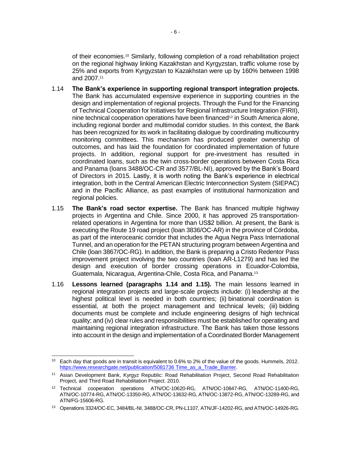of their economies. <sup>10</sup> Similarly, following completion of a road rehabilitation project on the regional highway linking Kazakhstan and Kyrgyzstan, traffic volume rose by 25% and exports from Kyrgyzstan to Kazakhstan were up by 160% between 1998 and 2007. 11

- <span id="page-11-0"></span>1.14 **The Bank's experience in supporting regional transport integration projects.** The Bank has accumulated expensive experience in supporting countries in the design and implementation of regional projects. Through the Fund for the Financing of Technical Cooperation for Initiatives for Regional Infrastructure Integration (FIRII), nine technical cooperation operations have been financed<sup>12</sup> in South America alone, including regional border and multimodal corridor studies. In this context, the Bank has been recognized for its work in facilitating dialogue by coordinating multicountry monitoring committees. This mechanism has produced greater ownership of outcomes, and has laid the foundation for coordinated implementation of future projects. In addition, regional support for pre-investment has resulted in coordinated loans, such as the twin cross-border operations between Costa Rica and Panama (loans 3488/OC-CR and 3577/BL-NI), approved by the Bank's Board of Directors in 2015. Lastly, it is worth noting the Bank's experience in electrical integration, both in the Central American Electric Interconnection System (SIEPAC) and in the Pacific Alliance, as past examples of institutional harmonization and regional policies.
- <span id="page-11-1"></span>1.15 **The Bank's road sector expertise.** The Bank has financed multiple highway projects in Argentina and Chile. Since 2000, it has approved 25 transportationrelated operations in Argentina for more than US\$2 billion. At present, the Bank is executing the Route 19 road project (loan 3836/OC-AR) in the province of Córdoba, as part of the interoceanic corridor that includes the Agua Negra Pass International Tunnel, and an operation for the PETAN structuring program between Argentina and Chile (loan 3867/OC-RG). In addition, the Bank is preparing a Cristo Redentor Pass improvement project involving the two countries (loan AR-L1279) and has led the design and execution of border crossing operations in Ecuador-Colombia, Guatemala, Nicaragua, Argentina-Chile, Costa Rica, and Panama.<sup>13</sup>
- 1.16 **Lessons learned (paragraphs [1.14](#page-11-0) and [1.15\)](#page-11-1).** The main lessons learned in regional integration projects and large-scale projects include: (i) leadership at the highest political level is needed in both countries; (ii) binational coordination is essential, at both the project management and technical levels; (iii) bidding documents must be complete and include engineering designs of high technical quality; and (iv) clear rules and responsibilities must be established for operating and maintaining regional integration infrastructure. The Bank has taken those lessons into account in the design and implementation of a Coordinated Border Management

 <sup>10</sup> Each day that goods are in transit is equivalent to 0.6% to 2% of the value of the goods. Hummels, 2012. [https://www.researchgate.net/publication/5081736 Time\\_as\\_a\\_Trade\\_Barrier.](https://www.researchgate.net/publication/5081736%20Time_as_a_Trade_Barrier)

<sup>&</sup>lt;sup>11</sup> Asian Development Bank, Kyrgyz Republic: Road Rehabilitation Project, Second Road Rehabilitation Project, and Third Road Rehabilitation Project. 2010.

<sup>12</sup> Technical cooperation operations ATN/OC-10620-RG, ATN/OC-10847-RG, ATN/OC-11400-RG, ATN/OC-10774-RG, ATN/OC-13350-RG, ATN/OC-13632-RG, ATN/OC-13872-RG, ATN/OC-13289-RG, and ATN/FG-15606-RG.

<sup>13</sup> Operations 3324/OC-EC, 3484/BL-NI, 3488/OC-CR, PN-L1107, ATN/JF-14202-RG, and ATN/OC-14926-RG.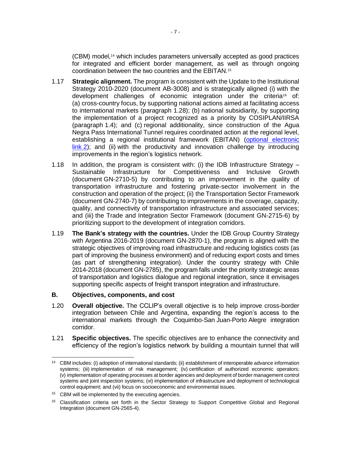(CBM) model,<sup>14</sup> which includes parameters universally accepted as good practices for integrated and efficient border management, as well as through ongoing coordination between the two countries and the EBITAN.<sup>15</sup>

- 1.17 **Strategic alignment.** The program is consistent with the Update to the Institutional Strategy 2010-2020 (document AB-3008) and is strategically aligned (i) with the development challenges of economic integration under the criteria<sup>16</sup> of: (a) cross-country focus, by supporting national actions aimed at facilitating access to international markets (paragraph [1.28\)](#page-14-0); (b) national subsidiarity, by supporting the implementation of a project recognized as a priority by COSIPLAN/IIRSA (paragraph [1.4\)](#page-6-0); and (c) regional additionality, since construction of the Agua Negra Pass International Tunnel requires coordinated action at the regional level, establishing a regional institutional framework (EBITAN) [\(optional electronic](https://idbg.sharepoint.com/teams/EZ-RG-LON/RG-L1116/_layouts/15/DocIdRedir.aspx?ID=EZSHARE-915975238-57)  [link](https://idbg.sharepoint.com/teams/EZ-RG-LON/RG-L1116/_layouts/15/DocIdRedir.aspx?ID=EZSHARE-915975238-57) 2); and (ii) with the productivity and innovation challenge by introducing improvements in the region's logistics network.
- 1.18 In addition, the program is consistent with: (i) the IDB Infrastructure Strategy Sustainable Infrastructure for Competitiveness and Inclusive Growth (document GN-2710-5) by contributing to an improvement in the quality of transportation infrastructure and fostering private-sector involvement in the construction and operation of the project; (ii) the Transportation Sector Framework (document GN-2740-7) by contributing to improvements in the coverage, capacity, quality, and connectivity of transportation infrastructure and associated services; and (iii) the Trade and Integration Sector Framework (document GN-2715-6) by prioritizing support to the development of integration corridors.
- 1.19 **The Bank's strategy with the countries.** Under the IDB Group Country Strategy with Argentina 2016-2019 (document GN-2870-1), the program is aligned with the strategic objectives of improving road infrastructure and reducing logistics costs (as part of improving the business environment) and of reducing export costs and times (as part of strengthening integration). Under the country strategy with Chile 2014-2018 (document GN-2785), the program falls under the priority strategic areas of transportation and logistics dialogue and regional integration, since it envisages supporting specific aspects of freight transport integration and infrastructure.

## **B. Objectives, components, and cost**

- 1.20 **Overall objective.** The CCLIP's overall objective is to help improve cross-border integration between Chile and Argentina, expanding the region's access to the international markets through the Coquimbo-San Juan-Porto Alegre integration corridor.
- 1.21 **Specific objectives.** The specific objectives are to enhance the connectivity and efficiency of the region's logistics network by building a mountain tunnel that will

 <sup>14</sup> CBM includes: (i) adoption of international standards; (ii) establishment of interoperable advance information systems; (iii) implementation of risk management; (iv) certification of authorized economic operators; (v) implementation of operating processes at border agencies and deployment of border management control systems and joint inspection systems; (vi) implementation of infrastructure and deployment of technological control equipment; and (vii) focus on socioeconomic and environmental issues.

<sup>&</sup>lt;sup>15</sup> CBM will be implemented by the executing agencies.

<sup>&</sup>lt;sup>16</sup> Classification criteria set forth in the Sector Strategy to Support Competitive Global and Regional Integration (document GN-2565-4).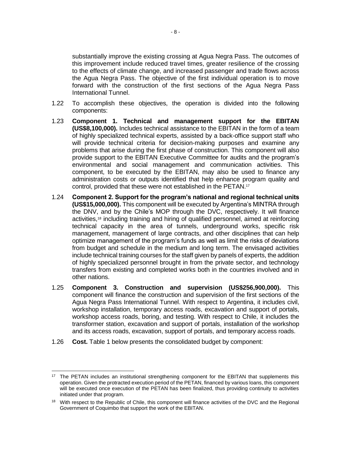substantially improve the existing crossing at Agua Negra Pass. The outcomes of this improvement include reduced travel times, greater resilience of the crossing to the effects of climate change, and increased passenger and trade flows across the Agua Negra Pass. The objective of the first individual operation is to move forward with the construction of the first sections of the Agua Negra Pass International Tunnel.

- 1.22 To accomplish these objectives, the operation is divided into the following components:
- 1.23 **Component 1. Technical and management support for the EBITAN (US\$8,100,000).** Includes technical assistance to the EBITAN in the form of a team of highly specialized technical experts, assisted by a back-office support staff who will provide technical criteria for decision-making purposes and examine any problems that arise during the first phase of construction. This component will also provide support to the EBITAN Executive Committee for audits and the program's environmental and social management and communication activities. This component, to be executed by the EBITAN, may also be used to finance any administration costs or outputs identified that help enhance program quality and control, provided that these were not established in the PETAN. 17
- <span id="page-13-0"></span>1.24 **Component 2. Support for the program's national and regional technical units (US\$15,000,000).** This component will be executed by Argentina's MINTRA through the DNV, and by the Chile's MOP through the DVC, respectively. It will finance activities,<sup>18</sup> including training and hiring of qualified personnel, aimed at reinforcing technical capacity in the area of tunnels, underground works, specific risk management, management of large contracts, and other disciplines that can help optimize management of the program's funds as well as limit the risks of deviations from budget and schedule in the medium and long term. The envisaged activities include technical training courses for the staff given by panels of experts, the addition of highly specialized personnel brought in from the private sector, and technology transfers from existing and completed works both in the countries involved and in other nations.
- 1.25 **Component 3. Construction and supervision (US\$256,900,000).** This component will finance the construction and supervision of the first sections of the Agua Negra Pass International Tunnel. With respect to Argentina, it includes civil, workshop installation, temporary access roads, excavation and support of portals, workshop access roads, boring, and testing. With respect to Chile, it includes the transformer station, excavation and support of portals, installation of the workshop and its access roads, excavation, support of portals, and temporary access roads.
- 1.26 **Cost.** Table 1 below presents the consolidated budget by component:

<sup>&</sup>lt;sup>17</sup> The PETAN includes an institutional strengthening component for the EBITAN that supplements this operation. Given the protracted execution period of the PETAN, financed by various loans, this component will be executed once execution of the PETAN has been finalized, thus providing continuity to activities initiated under that program.

<sup>&</sup>lt;sup>18</sup> With respect to the Republic of Chile, this component will finance activities of the DVC and the Regional Government of Coquimbo that support the work of the EBITAN.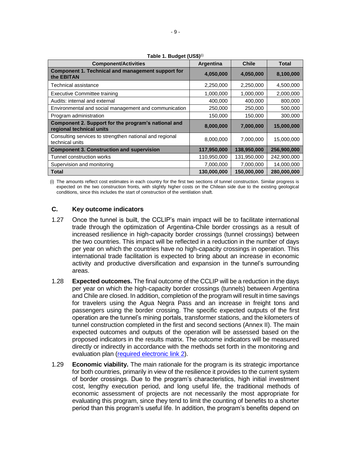| <b>Component/Activities</b>                                                     | Argentina   | <b>Chile</b> | <b>Total</b> |
|---------------------------------------------------------------------------------|-------------|--------------|--------------|
| Component 1. Technical and management support for<br>the <b>EBITAN</b>          | 4,050,000   | 4,050,000    | 8,100,000    |
| Technical assistance                                                            | 2,250,000   | 2,250,000    | 4,500,000    |
| <b>Executive Committee training</b>                                             | 1,000,000   | 1,000,000    | 2,000,000    |
| Audits: internal and external                                                   | 400,000     | 400,000      | 800,000      |
| Environmental and social management and communication                           | 250,000     | 250,000      | 500,000      |
| Program administration                                                          | 150,000     | 150,000      | 300,000      |
| Component 2. Support for the program's national and<br>regional technical units | 8,000,000   | 7,000,000    | 15,000,000   |
| Consulting services to strengthen national and regional<br>technical units      | 8,000,000   | 7,000,000    | 15,000,000   |
| <b>Component 3. Construction and supervision</b>                                | 117,950,000 | 138,950,000  | 256.900.000  |
| Tunnel construction works                                                       | 110,950,000 | 131,950,000  | 242,900,000  |
| Supervision and monitoring                                                      | 7,000,000   | 7,000,000    | 14,000,000   |
| <b>Total</b>                                                                    | 130,000,000 | 150,000,000  | 280,000,000  |

**Table 1. Budget (US\$)**(i)

(i) The amounts reflect cost estimates in each country for the first two sections of tunnel construction. Similar progress is expected on the two construction fronts, with slightly higher costs on the Chilean side due to the existing geological conditions, since this includes the start of construction of the ventilation shaft.

# **C. Key outcome indicators**

- 1.27 Once the tunnel is built, the CCLIP's main impact will be to facilitate international trade through the optimization of Argentina-Chile border crossings as a result of increased resilience in high-capacity border crossings (tunnel crossings) between the two countries. This impact will be reflected in a reduction in the number of days per year on which the countries have no high-capacity crossings in operation. This international trade facilitation is expected to bring about an increase in economic activity and productive diversification and expansion in the tunnel's surrounding areas.
- <span id="page-14-0"></span>1.28 **Expected outcomes.** The final outcome of the CCLIP will be a reduction in the days per year on which the high-capacity border crossings (tunnels) between Argentina and Chile are closed. In addition, completion of the program will result in time savings for travelers using the Agua Negra Pass and an increase in freight tons and passengers using the border crossing. The specific expected outputs of the first operation are the tunnel's mining portals, transformer stations, and the kilometers of tunnel construction completed in the first and second sections (Annex II). The main expected outcomes and outputs of the operation will be assessed based on the proposed indicators in the results matrix. The outcome indicators will be measured directly or indirectly in accordance with the methods set forth in the monitoring and evaluation plan [\(required electronic link](https://idbg.sharepoint.com/teams/EZ-RG-LON/RG-L1116/_layouts/15/DocIdRedir.aspx?ID=EZSHARE-915975238-91) 2).
- 1.29 **Economic viability.** The main rationale for the program is its strategic importance for both countries, primarily in view of the resilience it provides to the current system of border crossings. Due to the program's characteristics, high initial investment cost, lengthy execution period, and long useful life, the traditional methods of economic assessment of projects are not necessarily the most appropriate for evaluating this program, since they tend to limit the counting of benefits to a shorter period than this program's useful life. In addition, the program's benefits depend on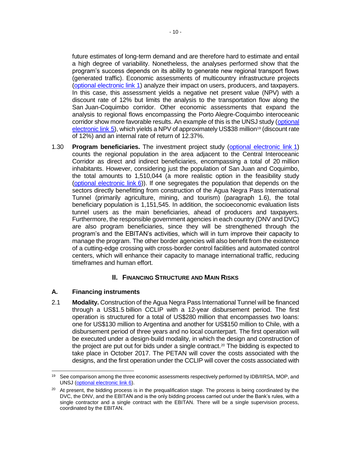future estimates of long-term demand and are therefore hard to estimate and entail a high degree of variability. Nonetheless, the analyses performed show that the program's success depends on its ability to generate new regional transport flows (generated traffic). Economic assessments of multicountry infrastructure projects [\(optional electronic link](https://idbg.sharepoint.com/teams/EZ-RG-LON/RG-L1116/_layouts/15/DocIdRedir.aspx?ID=EZSHARE-915975238-64) 1) analyze their impact on users, producers, and taxpayers. In this case, this assessment yields a negative net present value (NPV) with a discount rate of 12% but limits the analysis to the transportation flow along the San Juan-Coquimbo corridor. Other economic assessments that expand the analysis to regional flows encompassing the Porto Alegre-Coquimbo interoceanic corridor show more favorable results. An example of this is the UNSJ study [\(optional](http://idbdocs.iadb.org/wsdocs/getDocument.aspx?DOCNUM=EZSHARE-915975238-67)  [electronic link](http://idbdocs.iadb.org/wsdocs/getDocument.aspx?DOCNUM=EZSHARE-915975238-67) 5), which yields a NPV of approximately US\$38 million<sup>19</sup> (discount rate of 12%) and an internal rate of return of 12.37%.

1.30 **Program beneficiaries.** The investment project study [\(optional electronic link](https://idbg.sharepoint.com/teams/EZ-RG-LON/RG-L1116/_layouts/15/DocIdRedir.aspx?ID=EZSHARE-915975238-64) 1) counts the regional population in the area adjacent to the Central Interoceanic Corridor as direct and indirect beneficiaries, encompassing a total of 20 million inhabitants. However, considering just the population of San Juan and Coquimbo, the total amounts to 1,510,044 (a more realistic option in the feasibility study [\(optional electronic link](http://idbdocs.iadb.org/wsdocs/getDocument.aspx?DOCNUM=EZSHARE-915975238-65) 6)). If one segregates the population that depends on the sectors directly benefitting from construction of the Agua Negra Pass International Tunnel (primarily agriculture, mining, and tourism) (paragraph [1.6\)](#page-7-0), the total beneficiary population is 1,151,545. In addition, the socioeconomic evaluation lists tunnel users as the main beneficiaries, ahead of producers and taxpayers. Furthermore, the responsible government agencies in each country (DNV and DVC) are also program beneficiaries, since they will be strengthened through the program's and the EBITAN's activities, which will in turn improve their capacity to manage the program. The other border agencies will also benefit from the existence of a cutting-edge crossing with cross-border control facilities and automated control centers, which will enhance their capacity to manage international traffic, reducing timeframes and human effort.

# **II. FINANCING STRUCTURE AND MAIN RISKS**

## **A. Financing instruments**

<span id="page-15-0"></span>2.1 **Modality.** Construction of the Agua Negra Pass International Tunnel will be financed through a US\$1.5 billion CCLIP with a 12-year disbursement period. The first operation is structured for a total of US\$280 million that encompasses two loans: one for US\$130 million to Argentina and another for US\$150 million to Chile, with a disbursement period of three years and no local counterpart. The first operation will be executed under a design-build modality, in which the design and construction of the project are put out for bids under a single contract.<sup>20</sup> The bidding is expected to take place in October 2017. The PETAN will cover the costs associated with the designs, and the first operation under the CCLIP will cover the costs associated with

 <sup>19</sup> See comparison among the three economic assessments respectively performed by IDB/IIRSA, MOP, and UNSJ [\(optional electronic link](http://idbdocs.iadb.org/wsdocs/getDocument.aspx?DOCNUM=EZSHARE-915975238-65) 6).

 $20$  At present, the bidding process is in the prequalification stage. The process is being coordinated by the DVC, the DNV, and the EBITAN and is the only bidding process carried out under the Bank's rules, with a single contractor and a single contract with the EBITAN. There will be a single supervision process, coordinated by the EBITAN.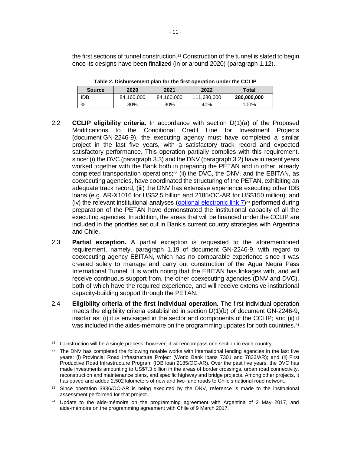the first sections of tunnel construction.<sup>21</sup> Construction of the tunnel is slated to begin once its designs have been finalized (in or around 2020) (paragraph [1.12\)](#page-10-0).

| <b>Source</b> | 2020       | 2021       | 2022        | Total       |
|---------------|------------|------------|-------------|-------------|
| <b>IDB</b>    | 84,160,000 | 84,160,000 | 111,680,000 | 280,000,000 |
| $\frac{0}{0}$ | 30%        | 30%        | 40%         | 100%        |

**Table 2. Disbursement plan for the first operation under the CCLIP**

- 2.2 **CCLIP eligibility criteria.** In accordance with section D(1)(a) of the Proposed Modifications to the Conditional Credit Line for Investment Projects (document GN-2246-9), the executing agency must have completed a similar project in the last five years, with a satisfactory track record and expected satisfactory performance. This operation partially complies with this requirement, since: (i) the DVC (paragraph [3.3\)](#page-20-1) and the DNV (paragraph [3.2\)](#page-19-0) have in recent years worked together with the Bank both in preparing the PETAN and in other, already completed transportation operations;<sup>22</sup> (ii) the DVC, the DNV, and the EBITAN, as coexecuting agencies, have coordinated the structuring of the PETAN, exhibiting an adequate track record; (iii) the DNV has extensive experience executing other IDB loans (e.g. AR-X1016 for US\$2.5 billion and 2185/OC-AR for US\$150 million); and (iv) the relevant institutional analyses [\(optional electronic link](https://idbg.sharepoint.com/teams/EZ-RG-LON/RG-L1116/_layouts/15/DocIdRedir.aspx?ID=EZSHARE-915975238-89) 7)<sup>23</sup> performed during preparation of the PETAN have demonstrated the institutional capacity of all the executing agencies. In addition, the areas that will be financed under the CCLIP are included in the priorities set out in Bank's current country strategies with Argentina and Chile.
- <span id="page-16-0"></span>2.3 **Partial exception.** A partial exception is requested to the aforementioned requirement, namely, paragraph 1.19 of document GN-2246-9, with regard to coexecuting agency EBITAN, which has no comparable experience since it was created solely to manage and carry out construction of the Agua Negra Pass International Tunnel. It is worth noting that the EBITAN has linkages with, and will receive continuous support from, the other coexecuting agencies (DNV and DVC), both of which have the required experience, and will receive extensive institutional capacity-building support through the PETAN.
- 2.4 **Eligibility criteria of the first individual operation.** The first individual operation meets the eligibility criteria established in section D(1)(b) of document GN-2246-9, insofar as: (i) it is envisaged in the sector and components of the CCLIP; and (ii) it was included in the aides-mémoire on the programming updates for both countries.<sup>24</sup>

 $\overline{a}$  $21$  Construction will be a single process; however, it will encompass one section in each country.

 $22$  The DNV has completed the following notable works with international lending agencies in the last five years: (i) Provincial Road Infrastructure Project (World Bank loans 7301 and 7833/AR); and (ii) First Productive Road Infrastructure Program (IDB loan 2185/OC-AR). Over the past five years, the DVC has made investments amounting to US\$7.3 billion in the areas of border crossings, urban road connectivity, reconstruction and maintenance plans, and specific highway and bridge projects. Among other projects, it has paved and added 2,502 kilometers of new and two-lane roads to Chile's national road network.

<sup>&</sup>lt;sup>23</sup> Since operation 3836/OC-AR is being executed by the DNV, reference is made to the institutional assessment performed for that project.

<sup>&</sup>lt;sup>24</sup> Update to the aide-mémoire on the programming agreement with Argentina of 2 May 2017, and aide-mémoire on the programming agreement with Chile of 9 March 2017.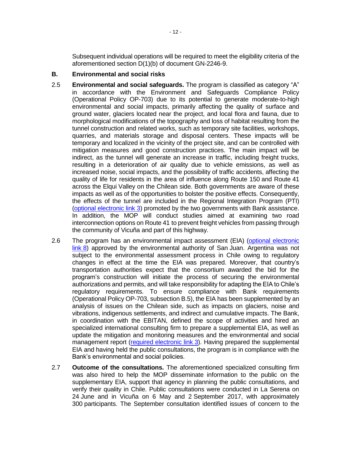Subsequent individual operations will be required to meet the eligibility criteria of the aforementioned section D(1)(b) of document GN-2246-9.

### **B. Environmental and social risks**

- 2.5 **Environmental and social safeguards.** The program is classified as category "A" in accordance with the Environment and Safeguards Compliance Policy (Operational Policy OP-703) due to its potential to generate moderate-to-high environmental and social impacts, primarily affecting the quality of surface and ground water, glaciers located near the project, and local flora and fauna, due to morphological modifications of the topography and loss of habitat resulting from the tunnel construction and related works, such as temporary site facilities, workshops, quarries, and materials storage and disposal centers. These impacts will be temporary and localized in the vicinity of the project site, and can be controlled with mitigation measures and good construction practices. The main impact will be indirect, as the tunnel will generate an increase in traffic, including freight trucks, resulting in a deterioration of air quality due to vehicle emissions, as well as increased noise, social impacts, and the possibility of traffic accidents, affecting the quality of life for residents in the area of influence along Route 150 and Route 41 across the Elqui Valley on the Chilean side. Both governments are aware of these impacts as well as of the opportunities to bolster the positive effects. Consequently, the effects of the tunnel are included in the Regional Integration Program (PTI) [\(optional electronic link](https://idbg.sharepoint.com/teams/EZ-RG-LON/RG-L1116/_layouts/15/DocIdRedir.aspx?ID=EZSHARE-915975238-62) 3) promoted by the two governments with Bank assistance. In addition, the MOP will conduct studies aimed at examining two road interconnection options on Route 41 to prevent freight vehicles from passing through the community of Vicuña and part of this highway.
- 2.6 The program has an environmental impact assessment (EIA) [\(optional electronic](https://idbg.sharepoint.com/teams/EZ-RG-LON/RG-L1116/_layouts/15/DocIdRedir.aspx?ID=EZSHARE-1683576236-6)  [link](https://idbg.sharepoint.com/teams/EZ-RG-LON/RG-L1116/_layouts/15/DocIdRedir.aspx?ID=EZSHARE-1683576236-6) 8) approved by the environmental authority of San Juan. Argentina was not subject to the environmental assessment process in Chile owing to regulatory changes in effect at the time the EIA was prepared. Moreover, that country's transportation authorities expect that the consortium awarded the bid for the program's construction will initiate the process of securing the environmental authorizations and permits, and will take responsibility for adapting the EIA to Chile's regulatory requirements. To ensure compliance with Bank requirements (Operational Policy OP-703, subsection B.5), the EIA has been supplemented by an analysis of issues on the Chilean side, such as impacts on glaciers, noise and vibrations, indigenous settlements, and indirect and cumulative impacts. The Bank, in coordination with the EBITAN, defined the scope of activities and hired an specialized international consulting firm to prepare a supplemental EIA, as well as update the mitigation and monitoring measures and the environmental and social management report [\(required electronic link](https://idbg.sharepoint.com/teams/EZ-RG-LON/RG-L1116/_layouts/15/DocIdRedir.aspx?ID=EZSHARE-915975238-91) 3). Having prepared the supplemental EIA and having held the public consultations, the program is in compliance with the Bank's environmental and social policies.
- 2.7 **Outcome of the consultations.** The aforementioned specialized consulting firm was also hired to help the MOP disseminate information to the public on the supplementary EIA, support that agency in planning the public consultations, and verify their quality in Chile. Public consultations were conducted in La Serena on 24 June and in Vicuña on 6 May and 2 September 2017, with approximately 300 participants. The September consultation identified issues of concern to the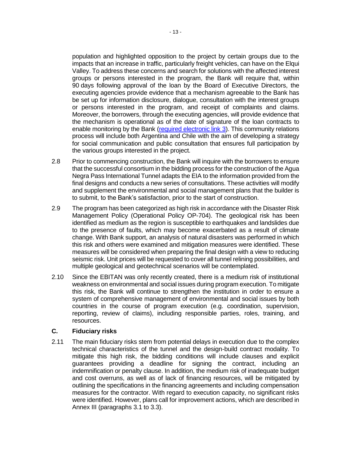population and highlighted opposition to the project by certain groups due to the impacts that an increase in traffic, particularly freight vehicles, can have on the Elqui Valley. To address these concerns and search for solutions with the affected interest groups or persons interested in the program, the Bank will require that, within 90 days following approval of the loan by the Board of Executive Directors, the executing agencies provide evidence that a mechanism agreeable to the Bank has be set up for information disclosure, dialogue, consultation with the interest groups or persons interested in the program, and receipt of complaints and claims. Moreover, the borrowers, through the executing agencies, will provide evidence that the mechanism is operational as of the date of signature of the loan contracts to enable monitoring by the Bank [\(required electronic link](https://idbg.sharepoint.com/teams/EZ-RG-LON/RG-L1116/_layouts/15/DocIdRedir.aspx?ID=EZSHARE-915975238-91) 3). This community relations process will include both Argentina and Chile with the aim of developing a strategy for social communication and public consultation that ensures full participation by the various groups interested in the project.

- 2.8 Prior to commencing construction, the Bank will inquire with the borrowers to ensure that the successful consortium in the bidding process for the construction of the Agua Negra Pass International Tunnel adapts the EIA to the information provided from the final designs and conducts a new series of consultations. These activities will modify and supplement the environmental and social management plans that the builder is to submit, to the Bank's satisfaction, prior to the start of construction.
- 2.9 The program has been categorized as high risk in accordance with the Disaster Risk Management Policy (Operational Policy OP-704). The geological risk has been identified as medium as the region is susceptible to earthquakes and landslides due to the presence of faults, which may become exacerbated as a result of climate change. With Bank support, an analysis of natural disasters was performed in which this risk and others were examined and mitigation measures were identified. These measures will be considered when preparing the final design with a view to reducing seismic risk. Unit prices will be requested to cover all tunnel relining possibilities, and multiple geological and geotechnical scenarios will be contemplated.
- 2.10 Since the EBITAN was only recently created, there is a medium risk of institutional weakness on environmental and social issues during program execution. To mitigate this risk, the Bank will continue to strengthen the institution in order to ensure a system of comprehensive management of environmental and social issues by both countries in the course of program execution (e.g. coordination, supervision, reporting, review of claims), including responsible parties, roles, training, and resources.

### **C. Fiduciary risks**

2.11 The main fiduciary risks stem from potential delays in execution due to the complex technical characteristics of the tunnel and the design-build contract modality. To mitigate this high risk, the bidding conditions will include clauses and explicit guarantees providing a deadline for signing the contract, including an indemnification or penalty clause. In addition, the medium risk of inadequate budget and cost overruns, as well as of lack of financing resources, will be mitigated by outlining the specifications in the financing agreements and including compensation measures for the contractor. With regard to execution capacity, no significant risks were identified. However, plans call for improvement actions, which are described in Annex III (paragraphs 3.1 to 3.3).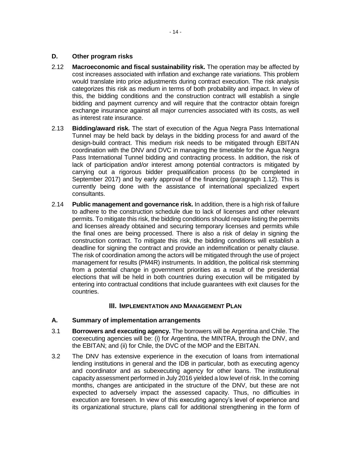- 2.12 **Macroeconomic and fiscal sustainability risk.** The operation may be affected by cost increases associated with inflation and exchange rate variations. This problem would translate into price adjustments during contract execution. The risk analysis categorizes this risk as medium in terms of both probability and impact. In view of this, the bidding conditions and the construction contract will establish a single bidding and payment currency and will require that the contractor obtain foreign exchange insurance against all major currencies associated with its costs, as well as interest rate insurance.
- 2.13 **Bidding/award risk.** The start of execution of the Agua Negra Pass International Tunnel may be held back by delays in the bidding process for and award of the design-build contract. This medium risk needs to be mitigated through EBITAN coordination with the DNV and DVC in managing the timetable for the Agua Negra Pass International Tunnel bidding and contracting process. In addition, the risk of lack of participation and/or interest among potential contractors is mitigated by carrying out a rigorous bidder prequalification process (to be completed in September 2017) and by early approval of the financing (paragraph [1.12\)](#page-10-0). This is currently being done with the assistance of international specialized expert consultants.
- <span id="page-19-1"></span>2.14 **Public management and governance risk.** In addition, there is a high risk of failure to adhere to the construction schedule due to lack of licenses and other relevant permits. To mitigate this risk, the bidding conditions should require listing the permits and licenses already obtained and securing temporary licenses and permits while the final ones are being processed. There is also a risk of delay in signing the construction contract. To mitigate this risk, the bidding conditions will establish a deadline for signing the contract and provide an indemnification or penalty clause. The risk of coordination among the actors will be mitigated through the use of project management for results (PM4R) instruments. In addition, the political risk stemming from a potential change in government priorities as a result of the presidential elections that will be held in both countries during execution will be mitigated by entering into contractual conditions that include guarantees with exit clauses for the countries.

# **III. IMPLEMENTATION AND MANAGEMENT PLAN**

## **A. Summary of implementation arrangements**

- 3.1 **Borrowers and executing agency.** The borrowers will be Argentina and Chile. The coexecuting agencies will be: (i) for Argentina, the MINTRA, through the DNV, and the EBITAN; and (ii) for Chile, the DVC of the MOP and the EBITAN.
- <span id="page-19-0"></span>3.2 The DNV has extensive experience in the execution of loans from international lending institutions in general and the IDB in particular, both as executing agency and coordinator and as subexecuting agency for other loans. The institutional capacity assessment performed in July 2016 yielded a low level of risk. In the coming months, changes are anticipated in the structure of the DNV, but these are not expected to adversely impact the assessed capacity. Thus, no difficulties in execution are foreseen. In view of this executing agency's level of experience and its organizational structure, plans call for additional strengthening in the form of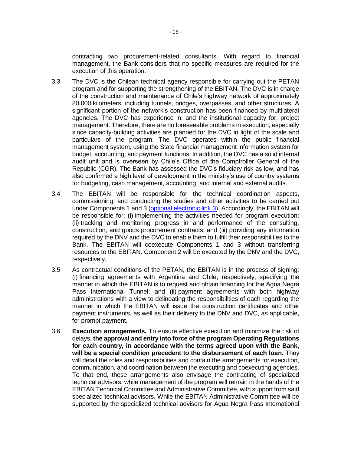contracting two procurement-related consultants. With regard to financial management, the Bank considers that no specific measures are required for the execution of this operation.

- 3.3 The DVC is the Chilean technical agency responsible for carrying out the PETAN program and for supporting the strengthening of the EBITAN. The DVC is in charge of the construction and maintenance of Chile's highway network of approximately 80,000 kilometers, including tunnels, bridges, overpasses, and other structures. A significant portion of the network's construction has been financed by multilateral agencies. The DVC has experience in, and the institutional capacity for, project management. Therefore, there are no foreseeable problems in execution, especially since capacity-building activities are planned for the DVC in light of the scale and particulars of the program. The DVC operates within the public financial management system, using the State financial management information system for budget, accounting, and payment functions. In addition, the DVC has a solid internal audit unit and is overseen by Chile's Office of the Comptroller General of the Republic (CGR). The Bank has assessed the DVC's fiduciary risk as low, and has also confirmed a high level of development in the ministry's use of country systems for budgeting, cash management, accounting, and internal and external audits.
- <span id="page-20-1"></span>3.4 The EBITAN will be responsible for the technical coordination aspects, commissioning, and conducting the studies and other activities to be carried out under Components 1 and 3 [\(optional electronic link](http://idbdocs.iadb.org/wsdocs/getDocument.aspx?DOCNUM=EZSHARE-915975238-62) 3). Accordingly, the EBITAN will be responsible for: (i) implementing the activities needed for program execution; (ii) tracking and monitoring progress in and performance of the consulting, construction, and goods procurement contracts; and (iii) providing any information required by the DNV and the DVC to enable them to fulfill their responsibilities to the Bank. The EBITAN will coexecute Components 1 and 3 without transferring resources to the EBITAN. Component 2 will be executed by the DNV and the DVC, respectively.
- 3.5 As contractual conditions of the PETAN, the EBITAN is in the process of signing: (i) financing agreements with Argentina and Chile, respectively, specifying the manner in which the EBITAN is to request and obtain financing for the Agua Negra Pass International Tunnel; and (ii) payment agreements with both highway administrations with a view to delineating the responsibilities of each regarding the manner in which the EBITAN will issue the construction certificates and other payment instruments, as well as their delivery to the DNV and DVC, as applicable, for prompt payment.
- <span id="page-20-0"></span>3.6 **Execution arrangements.** To ensure effective execution and minimize the risk of delays, **the approval and entry into force of the program Operating Regulations for each country, in accordance with the terms agreed upon with the Bank, will be a special condition precedent to the disbursement of each loan.** They will detail the roles and responsibilities and contain the arrangements for execution, communication, and coordination between the executing and coexecuting agencies. To that end, these arrangements also envisage the contracting of specialized technical advisors, while management of the program will remain in the hands of the EBITAN Technical Committee and Administrative Committee, with support from said specialized technical advisors. While the EBITAN Administrative Committee will be supported by the specialized technical advisors for Agua Negra Pass International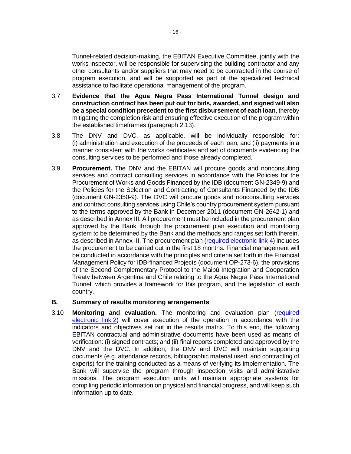Tunnel-related decision-making, the EBITAN Executive Committee, jointly with the works inspector, will be responsible for supervising the building contractor and any other consultants and/or suppliers that may need to be contracted in the course of program execution, and will be supported as part of the specialized technical assistance to facilitate operational management of the program.

- <span id="page-21-0"></span>3.7 **Evidence that the Agua Negra Pass International Tunnel design and construction contract has been put out for bids, awarded, and signed will also be a special condition precedent to the first disbursement of each loan**, thereby mitigating the completion risk and ensuring effective execution of the program within the established timeframes (paragraph [2.13\)](#page-19-1).
- 3.8 The DNV and DVC, as applicable, will be individually responsible for: (i) administration and execution of the proceeds of each loan; and (ii) payments in a manner consistent with the works certificates and set of documents evidencing the consulting services to be performed and those already completed.
- 3.9 **Procurement.** The DNV and the EBITAN will procure goods and nonconsulting services and contract consulting services in accordance with the Policies for the Procurement of Works and Goods Financed by the IDB (document GN-2349-9) and the Policies for the Selection and Contracting of Consultants Financed by the IDB (document GN-2350-9). The DVC will procure goods and nonconsulting services and contract consulting services using Chile's country procurement system pursuant to the terms approved by the Bank in December 2011 (document GN-2642-1) and as described in Annex III. All procurement must be included in the procurement plan approved by the Bank through the procurement plan execution and monitoring system to be determined by the Bank and the methods and ranges set forth therein, as described in Annex III. The procurement plan [\(required electronic link](https://idbg.sharepoint.com/teams/EZ-RG-LON/RG-L1116/_layouts/15/DocIdRedir.aspx?ID=EZSHARE-915975238-92) 4) includes the procurement to be carried out in the first 18 months. Financial management will be conducted in accordance with the principles and criteria set forth in the Financial Management Policy for IDB-financed Projects (document OP-273-6), the provisions of the Second Complementary Protocol to the Maipú Integration and Cooperation Treaty between Argentina and Chile relating to the Agua Negra Pass International Tunnel, which provides a framework for this program, and the legislation of each country.

### **B. Summary of results monitoring arrangements**

3.10 **Monitoring and evaluation.** The monitoring and evaluation plan [\(required](https://idbg.sharepoint.com/teams/EZ-RG-LON/RG-L1116/_layouts/15/DocIdRedir.aspx?ID=EZSHARE-915975238-91)  [electronic link](https://idbg.sharepoint.com/teams/EZ-RG-LON/RG-L1116/_layouts/15/DocIdRedir.aspx?ID=EZSHARE-915975238-91) 2) will cover execution of the operation in accordance with the indicators and objectives set out in the results matrix. To this end, the following EBITAN contractual and administrative documents have been used as means of verification: (i) signed contracts; and (ii) final reports completed and approved by the DNV and the DVC. In addition, the DNV and DVC will maintain supporting documents (e.g. attendance records, bibliographic material used, and contracting of experts) for the training conducted as a means of verifying its implementation. The Bank will supervise the program through inspection visits and administrative missions. The program execution units will maintain appropriate systems for compiling periodic information on physical and financial progress, and will keep such information up to date.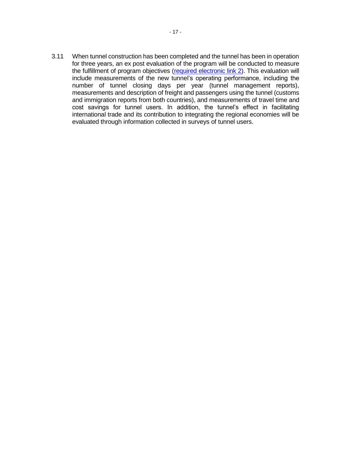3.11 When tunnel construction has been completed and the tunnel has been in operation for three years, an ex post evaluation of the program will be conducted to measure the fulfillment of program objectives [\(required electronic link](https://idbg.sharepoint.com/teams/EZ-RG-LON/RG-L1116/_layouts/15/DocIdRedir.aspx?ID=EZSHARE-915975238-91) 2). This evaluation will include measurements of the new tunnel's operating performance, including the number of tunnel closing days per year (tunnel management reports), measurements and description of freight and passengers using the tunnel (customs and immigration reports from both countries), and measurements of travel time and cost savings for tunnel users. In addition, the tunnel's effect in facilitating international trade and its contribution to integrating the regional economies will be evaluated through information collected in surveys of tunnel users.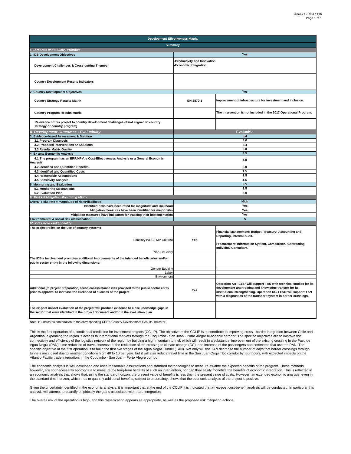| <b>Development Effectiveness Matrix</b>                                                                                                                                                |                                                       |                                                                                                                                                                                                                                                                      |  |  |  |
|----------------------------------------------------------------------------------------------------------------------------------------------------------------------------------------|-------------------------------------------------------|----------------------------------------------------------------------------------------------------------------------------------------------------------------------------------------------------------------------------------------------------------------------|--|--|--|
| <b>Summary</b>                                                                                                                                                                         |                                                       |                                                                                                                                                                                                                                                                      |  |  |  |
| <b>Corporate and Country Priorities</b>                                                                                                                                                |                                                       |                                                                                                                                                                                                                                                                      |  |  |  |
| 1. IDB Development Objectives                                                                                                                                                          |                                                       | Yes                                                                                                                                                                                                                                                                  |  |  |  |
| Development Challenges & Cross-cutting Themes                                                                                                                                          | -Productivity and Innovation<br>-Economic Integration |                                                                                                                                                                                                                                                                      |  |  |  |
| <b>Country Development Results Indicators</b>                                                                                                                                          |                                                       |                                                                                                                                                                                                                                                                      |  |  |  |
| <b>Country Development Objectives</b>                                                                                                                                                  |                                                       | Yes                                                                                                                                                                                                                                                                  |  |  |  |
| <b>Country Strategy Results Matrix</b>                                                                                                                                                 | GN-2870-1                                             | Improvement of infrastructure for investment and inclusion.                                                                                                                                                                                                          |  |  |  |
| <b>Country Program Results Matrix</b>                                                                                                                                                  |                                                       | The intervention is not included in the 2017 Operational Program.                                                                                                                                                                                                    |  |  |  |
| Relevance of this project to country development challenges (If not aligned to country<br>strategy or country program)                                                                 |                                                       |                                                                                                                                                                                                                                                                      |  |  |  |
| <b>Development Outcomes - Evaluability</b>                                                                                                                                             |                                                       | <b>Evaluable</b>                                                                                                                                                                                                                                                     |  |  |  |
| <b>Evidence-based Assessment &amp; Solution</b>                                                                                                                                        |                                                       | 8.4                                                                                                                                                                                                                                                                  |  |  |  |
| 3.1 Program Diagnosis                                                                                                                                                                  |                                                       | 3.0                                                                                                                                                                                                                                                                  |  |  |  |
| 3.2 Proposed Interventions or Solutions                                                                                                                                                |                                                       | 2.4                                                                                                                                                                                                                                                                  |  |  |  |
| 3.3 Results Matrix Quality<br><b>Ex ante Economic Analysis</b>                                                                                                                         |                                                       | 3.0<br>8.5                                                                                                                                                                                                                                                           |  |  |  |
| 4.1 The program has an ERR/NPV, a Cost-Effectiveness Analysis or a General Economic                                                                                                    |                                                       |                                                                                                                                                                                                                                                                      |  |  |  |
| Analysis                                                                                                                                                                               |                                                       | 4.0                                                                                                                                                                                                                                                                  |  |  |  |
| 4.2 Identified and Quantified Benefits                                                                                                                                                 | 0.0                                                   |                                                                                                                                                                                                                                                                      |  |  |  |
| 4.3 Identified and Quantified Costs                                                                                                                                                    |                                                       | 1.5<br>1.5                                                                                                                                                                                                                                                           |  |  |  |
| 4.4 Reasonable Assumptions<br>4.5 Sensitivity Analysis                                                                                                                                 |                                                       | 1.5                                                                                                                                                                                                                                                                  |  |  |  |
| <b>Monitoring and Evaluation</b>                                                                                                                                                       | 5.5                                                   |                                                                                                                                                                                                                                                                      |  |  |  |
| 5.1 Monitoring Mechanisms                                                                                                                                                              |                                                       | 2.5                                                                                                                                                                                                                                                                  |  |  |  |
| 5.2 Evaluation Plan                                                                                                                                                                    |                                                       | 3.0                                                                                                                                                                                                                                                                  |  |  |  |
| <b>I. Risks &amp; Mitigation Monitoring Matrix</b>                                                                                                                                     |                                                       |                                                                                                                                                                                                                                                                      |  |  |  |
| Overall risks rate = magnitude of risks*likelihood                                                                                                                                     |                                                       | High                                                                                                                                                                                                                                                                 |  |  |  |
| Identified risks have been rated for magnitude and likelihood                                                                                                                          |                                                       | Yes                                                                                                                                                                                                                                                                  |  |  |  |
| Mitigation measures have been identified for major risks                                                                                                                               |                                                       | Yes                                                                                                                                                                                                                                                                  |  |  |  |
| Mitigation measures have indicators for tracking their implementation                                                                                                                  | Yes<br>A                                              |                                                                                                                                                                                                                                                                      |  |  |  |
| Environmental & social risk classification<br>IV. IDB's Role - Additionality                                                                                                           |                                                       |                                                                                                                                                                                                                                                                      |  |  |  |
| The project relies on the use of country systems                                                                                                                                       |                                                       |                                                                                                                                                                                                                                                                      |  |  |  |
| Fiduciary (VPC/FMP Criteria)                                                                                                                                                           | Yes                                                   | Financial Management: Budget, Treasury, Accounting and<br>Reporting, Internal Audit.<br>Procurement: Information System, Comparison, Contracting                                                                                                                     |  |  |  |
|                                                                                                                                                                                        |                                                       | <b>Individual Consultant.</b>                                                                                                                                                                                                                                        |  |  |  |
| Non-Fiduciary                                                                                                                                                                          |                                                       |                                                                                                                                                                                                                                                                      |  |  |  |
| The IDB's involvement promotes additional improvements of the intended beneficiaries and/or<br>public sector entity in the following dimensions:                                       |                                                       |                                                                                                                                                                                                                                                                      |  |  |  |
| <b>Gender Equality</b>                                                                                                                                                                 |                                                       |                                                                                                                                                                                                                                                                      |  |  |  |
| Labor<br>Environment                                                                                                                                                                   |                                                       |                                                                                                                                                                                                                                                                      |  |  |  |
| Additional (to project preparation) technical assistance was provided to the public sector entity<br>prior to approval to increase the likelihood of success of the project            | Yes                                                   | Operation AR-T1187 will support TAN with technical studies for its<br>development and training and knowledge transfer for its<br>institutional strengthening. Operation RG-T1230 will support TAN<br>with a diagnostics of the transport system in border crossings. |  |  |  |
| The ex-post impact evaluation of the project will produce evidence to close knowledge gaps in<br>the sector that were identified in the project document and/or in the evaluation plan |                                                       |                                                                                                                                                                                                                                                                      |  |  |  |

Note: (\*) Indicates contribution to the corresponding CRF's Country Development Results Indicator.

This is the first operation of a conditional credit line for investment projects (CCLIP). The objective of the CCLIP is to contribute to improving cross - border integration between Chile and Argentina, expanding the region 's access to international markets through the Coquimbo - San Juan - Porto Alegre bi-oceanic corridor. The specific objectives are to improve the connectivity and efficiency of the logistics network of the region by building a high mountain tunnel, which will result in a substantial improvement of the existing crossing in the Paso de Agua Negra (PAN), time reduction of travel, increase of the resilience of the crossing to climate change (CC), and increase of the passengers and commerce that use the PAN. The specific objective of the first operation is to build the first two stages of the Agua Negra Tunnel (TAN). Not only will the TAN decrease the number of days that border crossings through tunnels are closed due to weather conditions from 40 to 10 per year, but it will also reduce travel time in the San Juan-Coquimbo corridor by four hours, with expected impacts on the Atlantic-Pacific trade integration, in the Coquimbo - San Juan - Porto Alegre corridor.

The economic analysis is well developed and uses reasonable assumptions and standard methodologies to measure ex-ante the expected benefits of the program. These methods, however, are not necessarily appropriate to measure the long-term benefits of such an intervention, nor can they easily monetize the benefits of economic integration. This is reflected in an economic analysis that shows that, using the standard horizon, the present value of benefits is less than the present value of costs. However, an extended economic analysis, even in the standard time horizon, which tries to quantify additional benefits, subject to uncertainty, shows that the economic analysis of the project is positive.

Given the uncertainty identified in the economic analysis, it is important that at the end of the CCLIP it is indicated that an ex-post cost-benefit analysis will be conducted. In particular this analysis will attempt to quantify empirically the gains associated with trade integration.

The overall risk of the operation is high, and this classification appears as appropriate, as well as the proposed risk mitigation actions.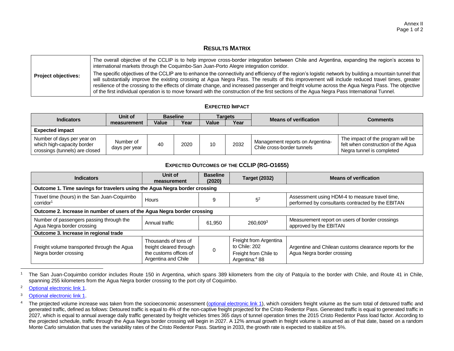### **RESULTS MATRIX**

|                            | The overall objective of the CCLIP is to help improve cross-border integration between Chile and Argentina, expanding the region's access to<br>international markets through the Coquimbo-San Juan-Porto Alegre integration corridor.                                                                                                                                                                                                                                                                                                                                                                             |
|----------------------------|--------------------------------------------------------------------------------------------------------------------------------------------------------------------------------------------------------------------------------------------------------------------------------------------------------------------------------------------------------------------------------------------------------------------------------------------------------------------------------------------------------------------------------------------------------------------------------------------------------------------|
| <b>Project objectives:</b> | The specific objectives of the CCLIP are to enhance the connectivity and efficiency of the region's logistic network by building a mountain tunnel that<br>will substantially improve the existing crossing at Agua Negra Pass. The results of this improvement will include reduced travel times, greater<br>resilience of the crossing to the effects of climate change, and increased passenger and freight volume across the Agua Negra Pass. The objective  <br>of the first individual operation is to move forward with the construction of the first sections of the Agua Negra Pass International Tunnel. |

#### **EXPECTED IMPACT**

| <b>Indicators</b>                                                                          | Unit of                    |              | <b>Baseline</b> |              | Targets | <b>Means of verification</b>                                   | Comments                                                                                             |  |
|--------------------------------------------------------------------------------------------|----------------------------|--------------|-----------------|--------------|---------|----------------------------------------------------------------|------------------------------------------------------------------------------------------------------|--|
|                                                                                            | measurement                | <b>Value</b> | Year            | <b>Value</b> | Year    |                                                                |                                                                                                      |  |
| <b>Expected impact</b>                                                                     |                            |              |                 |              |         |                                                                |                                                                                                      |  |
| Number of days per year on<br>which high-capacity border<br>crossings (tunnels) are closed | Number of<br>days per year | 40           | 2020            | 10           | 2032    | Management reports on Argentina-<br>Chile cross-border tunnels | The impact of the program will be<br>felt when construction of the Agua<br>Negra tunnel is completed |  |

### **EXPECTED OUTCOMES OF THE CCLIP (RG-O1655)**

| <b>Indicators</b>                                                                        | <b>Baseline</b><br>Unit of<br>(2020)<br>measurement                                              |            | <b>Target (2032)</b>                                                                           | <b>Means of verification</b>                                                                        |  |  |  |  |
|------------------------------------------------------------------------------------------|--------------------------------------------------------------------------------------------------|------------|------------------------------------------------------------------------------------------------|-----------------------------------------------------------------------------------------------------|--|--|--|--|
| Outcome 1. Time savings for travelers using the Agua Negra border crossing               |                                                                                                  |            |                                                                                                |                                                                                                     |  |  |  |  |
| Travel time (hours) in the San Juan-Coquimbo<br>corridor <sup>1</sup>                    | Hours                                                                                            | $5^2$<br>9 |                                                                                                | Assessment using HDM-4 to measure travel time,<br>performed by consultants contracted by the EBITAN |  |  |  |  |
| Outcome 2. Increase in number of users of the Agua Negra border crossing                 |                                                                                                  |            |                                                                                                |                                                                                                     |  |  |  |  |
| Number of passengers passing through the<br>Annual traffic<br>Agua Negra border crossing |                                                                                                  | 61.950     | 260.6093                                                                                       | Measurement report on users of border crossings<br>approved by the EBITAN                           |  |  |  |  |
| Outcome 3. Increase in regional trade                                                    |                                                                                                  |            |                                                                                                |                                                                                                     |  |  |  |  |
| Freight volume transported through the Agua<br>Negra border crossing                     | Thousands of tons of<br>freight cleared through<br>the customs offices of<br>Argentina and Chile |            | Freight from Argentina<br>to Chile: 202<br>Freight from Chile to<br>Argentina: <sup>4</sup> 88 | Argentine and Chilean customs clearance reports for the<br>Agua Negra border crossing               |  |  |  |  |

<sup>&</sup>lt;sup>1</sup> The San Juan-Coquimbo corridor includes Route 150 in Argentina, which spans 389 kilometers from the city of Patquía to the border with Chile, and Route 41 in Chile, spanning 255 kilometers from the Agua Negra border crossing to the port city of Coquimbo.

l

<sup>2</sup> [Optional electronic link 1](https://idbg.sharepoint.com/teams/EZ-RG-LON/RG-L1116/_layouts/15/DocIdRedir.aspx?ID=EZSHARE-915975238-64).

<sup>3</sup> [Optional electronic link 1.](https://idbg.sharepoint.com/teams/EZ-RG-LON/RG-L1116/_layouts/15/DocIdRedir.aspx?ID=EZSHARE-915975238-64)

<sup>&</sup>lt;sup>4</sup> The projected volume increase was taken from the socioeconomic assessment [\(optional electronic link 1\)](https://idbg.sharepoint.com/teams/EZ-RG-LON/RG-L1116/_layouts/15/DocIdRedir.aspx?ID=EZSHARE-915975238-64), which considers freight volume as the sum total of detoured traffic and generated traffic, defined as follows: Detoured traffic is equal to 4% of the non-captive freight projected for the Cristo Redentor Pass. Generated traffic is equal to generated traffic in 2027, which is equal to annual average daily traffic generated by freight vehicles times 365 days of tunnel operation times the 2015 Cristo Redentor Pass load factor. According to the projected schedule, traffic through the Agua Negra border crossing will begin in 2027. A 12% annual growth in freight volume is assumed as of that date, based on a random Monte Carlo simulation that uses the variability rates of the Cristo Redentor Pass. Starting in 2033, the growth rate is expected to stabilize at 5%.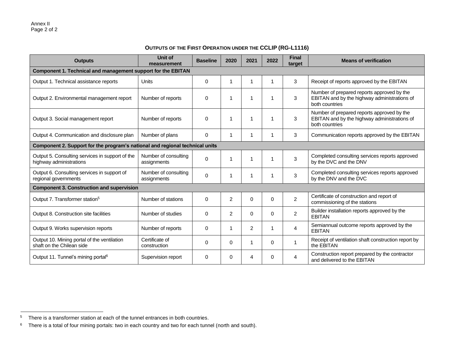$\overline{\phantom{a}}$ 

# **OUTPUTS OF THE FIRST OPERATION UNDER THE CCLIP (RG-L1116)**

| <b>Outputs</b>                                                               | <b>Unit of</b><br>measurement       | <b>Baseline</b> | 2020           | 2021           | 2022     | <b>Final</b><br>target | <b>Means of verification</b>                                                                                 |
|------------------------------------------------------------------------------|-------------------------------------|-----------------|----------------|----------------|----------|------------------------|--------------------------------------------------------------------------------------------------------------|
| Component 1. Technical and management support for the EBITAN                 |                                     |                 |                |                |          |                        |                                                                                                              |
| Output 1. Technical assistance reports                                       | Units                               | $\Omega$        | 1              |                |          | 3                      | Receipt of reports approved by the EBITAN                                                                    |
| Output 2. Environmental management report                                    | Number of reports                   | 0               | 1              |                |          | 3                      | Number of prepared reports approved by the<br>EBITAN and by the highway administrations of<br>both countries |
| Output 3. Social management report                                           | Number of reports                   | $\Omega$        | 1              |                |          | 3                      | Number of prepared reports approved by the<br>EBITAN and by the highway administrations of<br>both countries |
| Output 4. Communication and disclosure plan                                  | Number of plans                     | 0               | 1              |                |          | 3                      | Communication reports approved by the EBITAN                                                                 |
| Component 2. Support for the program's national and regional technical units |                                     |                 |                |                |          |                        |                                                                                                              |
| Output 5. Consulting services in support of the<br>highway administrations   | Number of consulting<br>assignments | $\mathbf 0$     | 1              |                |          | 3                      | Completed consulting services reports approved<br>by the DVC and the DNV                                     |
| Output 6. Consulting services in support of<br>regional governments          | Number of consulting<br>assignments | $\mathbf 0$     | 1              |                |          | 3                      | Completed consulting services reports approved<br>by the DNV and the DVC                                     |
| <b>Component 3. Construction and supervision</b>                             |                                     |                 |                |                |          |                        |                                                                                                              |
| Output 7. Transformer station <sup>5</sup>                                   | Number of stations                  | $\mathbf 0$     | $\overline{c}$ | $\Omega$       | $\Omega$ | $\overline{2}$         | Certificate of construction and report of<br>commissioning of the stations                                   |
| Output 8. Construction site facilities                                       | Number of studies                   | $\Omega$        | $\overline{c}$ | $\Omega$       | 0        | $\overline{2}$         | Builder installation reports approved by the<br><b>EBITAN</b>                                                |
| Output 9. Works supervision reports                                          | Number of reports                   | 0               |                | $\overline{2}$ |          | 4                      | Semiannual outcome reports approved by the<br><b>EBITAN</b>                                                  |
| Output 10. Mining portal of the ventilation<br>shaft on the Chilean side     | Certificate of<br>construction      | 0               | 0              |                | 0        | $\mathbf 1$            | Receipt of ventilation shaft construction report by<br>the EBITAN                                            |
| Output 11. Tunnel's mining portal <sup>6</sup>                               | Supervision report                  | $\Omega$        | 0              | 4              | 0        | 4                      | Construction report prepared by the contractor<br>and delivered to the EBITAN                                |

 $5$  There is a transformer station at each of the tunnel entrances in both countries.

 $6$  There is a total of four mining portals: two in each country and two for each tunnel (north and south).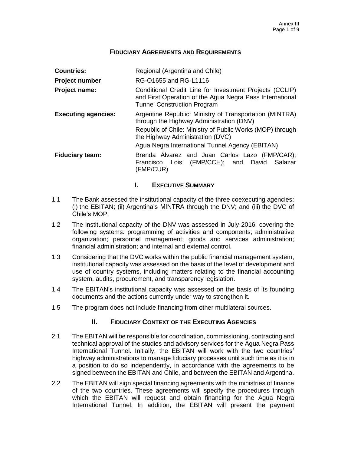## **FIDUCIARY AGREEMENTS AND REQUIREMENTS**

| <b>Countries:</b>                              | Regional (Argentina and Chile)                                                                                                                                                                       |  |  |  |  |  |
|------------------------------------------------|------------------------------------------------------------------------------------------------------------------------------------------------------------------------------------------------------|--|--|--|--|--|
| RG-01655 and RG-L1116<br><b>Project number</b> |                                                                                                                                                                                                      |  |  |  |  |  |
| Project name:                                  | Conditional Credit Line for Investment Projects (CCLIP)<br>and First Operation of the Agua Negra Pass International<br><b>Tunnel Construction Program</b>                                            |  |  |  |  |  |
| <b>Executing agencies:</b>                     | Argentine Republic: Ministry of Transportation (MINTRA)<br>through the Highway Administration (DNV)<br>Republic of Chile: Ministry of Public Works (MOP) through<br>the Highway Administration (DVC) |  |  |  |  |  |
|                                                | Agua Negra International Tunnel Agency (EBITAN)                                                                                                                                                      |  |  |  |  |  |
| <b>Fiduciary team:</b>                         | Brenda Alvarez and Juan Carlos Lazo (FMP/CAR);<br>Francisco Lois (FMP/CCH); and David Salazar<br>(FMP/CUR)                                                                                           |  |  |  |  |  |

## **I. EXECUTIVE SUMMARY**

- 1.1 The Bank assessed the institutional capacity of the three coexecuting agencies: (i) the EBITAN; (ii) Argentina's MINTRA through the DNV; and (iii) the DVC of Chile's MOP.
- 1.2 The institutional capacity of the DNV was assessed in July 2016, covering the following systems: programming of activities and components; administrative organization; personnel management; goods and services administration; financial administration; and internal and external control.
- 1.3 Considering that the DVC works within the public financial management system, institutional capacity was assessed on the basis of the level of development and use of country systems, including matters relating to the financial accounting system, audits, procurement, and transparency legislation.
- 1.4 The EBITAN's institutional capacity was assessed on the basis of its founding documents and the actions currently under way to strengthen it.
- 1.5 The program does not include financing from other multilateral sources.

## **II. FIDUCIARY CONTEXT OF THE EXECUTING AGENCIES**

- 2.1 The EBITAN will be responsible for coordination, commissioning, contracting and technical approval of the studies and advisory services for the Agua Negra Pass International Tunnel. Initially, the EBITAN will work with the two countries' highway administrations to manage fiduciary processes until such time as it is in a position to do so independently, in accordance with the agreements to be signed between the EBITAN and Chile, and between the EBITAN and Argentina.
- 2.2 The EBITAN will sign special financing agreements with the ministries of finance of the two countries. These agreements will specify the procedures through which the EBITAN will request and obtain financing for the Agua Negra International Tunnel. In addition, the EBITAN will present the payment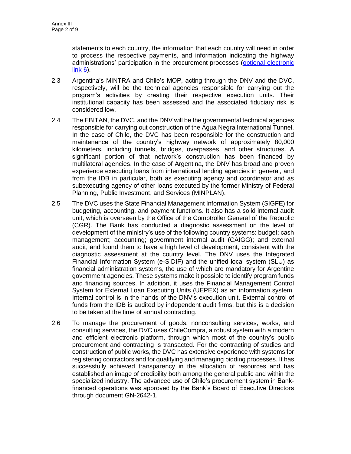statements to each country, the information that each country will need in order to process the respective payments, and information indicating the highway administrations' participation in the procurement processes [\(optional electronic](https://idbg.sharepoint.com/teams/EZ-RG-LON/RG-L1116/_layouts/15/DocIdRedir.aspx?ID=EZSHARE-915975238-65)  [link](https://idbg.sharepoint.com/teams/EZ-RG-LON/RG-L1116/_layouts/15/DocIdRedir.aspx?ID=EZSHARE-915975238-65) 6).

- 2.3 Argentina's MINTRA and Chile's MOP, acting through the DNV and the DVC, respectively, will be the technical agencies responsible for carrying out the program's activities by creating their respective execution units. Their institutional capacity has been assessed and the associated fiduciary risk is considered low.
- 2.4 The EBITAN, the DVC, and the DNV will be the governmental technical agencies responsible for carrying out construction of the Agua Negra International Tunnel. In the case of Chile, the DVC has been responsible for the construction and maintenance of the country's highway network of approximately 80,000 kilometers, including tunnels, bridges, overpasses, and other structures. A significant portion of that network's construction has been financed by multilateral agencies. In the case of Argentina, the DNV has broad and proven experience executing loans from international lending agencies in general, and from the IDB in particular, both as executing agency and coordinator and as subexecuting agency of other loans executed by the former Ministry of Federal Planning, Public Investment, and Services (MINPLAN).
- 2.5 The DVC uses the State Financial Management Information System (SIGFE) for budgeting, accounting, and payment functions. It also has a solid internal audit unit, which is overseen by the Office of the Comptroller General of the Republic (CGR). The Bank has conducted a diagnostic assessment on the level of development of the ministry's use of the following country systems: budget; cash management; accounting; government internal audit (CAIGG); and external audit, and found them to have a high level of development, consistent with the diagnostic assessment at the country level. The DNV uses the Integrated Financial Information System (e-SIDIF) and the unified local system (SLU) as financial administration systems, the use of which are mandatory for Argentine government agencies. These systems make it possible to identify program funds and financing sources. In addition, it uses the Financial Management Control System for External Loan Executing Units (UEPEX) as an information system. Internal control is in the hands of the DNV's execution unit. External control of funds from the IDB is audited by independent audit firms, but this is a decision to be taken at the time of annual contracting.
- 2.6 To manage the procurement of goods, nonconsulting services, works, and consulting services, the DVC uses ChileCompra, a robust system with a modern and efficient electronic platform, through which most of the country's public procurement and contracting is transacted. For the contracting of studies and construction of public works, the DVC has extensive experience with systems for registering contractors and for qualifying and managing bidding processes. It has successfully achieved transparency in the allocation of resources and has established an image of credibility both among the general public and within the specialized industry. The advanced use of Chile's procurement system in Bankfinanced operations was approved by the Bank's Board of Executive Directors through document GN-2642-1.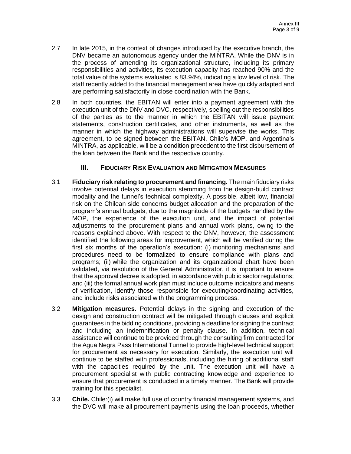- 2.7 In late 2015, in the context of changes introduced by the executive branch, the DNV became an autonomous agency under the MINTRA. While the DNV is in the process of amending its organizational structure, including its primary responsibilities and activities, its execution capacity has reached 90% and the total value of the systems evaluated is 83.94%, indicating a low level of risk. The staff recently added to the financial management area have quickly adapted and are performing satisfactorily in close coordination with the Bank.
- 2.8 In both countries, the EBITAN will enter into a payment agreement with the execution unit of the DNV and DVC, respectively, spelling out the responsibilities of the parties as to the manner in which the EBITAN will issue payment statements, construction certificates, and other instruments, as well as the manner in which the highway administrations will supervise the works. This agreement, to be signed between the EBITAN, Chile's MOP, and Argentina's MINTRA, as applicable, will be a condition precedent to the first disbursement of the loan between the Bank and the respective country.

## **III. FIDUCIARY RISK EVALUATION AND MITIGATION MEASURES**

- 3.1 **Fiduciary risk relating to procurement and financing.** The main fiduciary risks involve potential delays in execution stemming from the design-build contract modality and the tunnel's technical complexity. A possible, albeit low, financial risk on the Chilean side concerns budget allocation and the preparation of the program's annual budgets, due to the magnitude of the budgets handled by the MOP, the experience of the execution unit, and the impact of potential adjustments to the procurement plans and annual work plans, owing to the reasons explained above. With respect to the DNV, however, the assessment identified the following areas for improvement, which will be verified during the first six months of the operation's execution: (i) monitoring mechanisms and procedures need to be formalized to ensure compliance with plans and programs; (ii) while the organization and its organizational chart have been validated, via resolution of the General Administrator, it is important to ensure that the approval decree is adopted, in accordance with public sector regulations; and (iii) the formal annual work plan must include outcome indicators and means of verification, identify those responsible for executing/coordinating activities, and include risks associated with the programming process.
- 3.2 **Mitigation measures.** Potential delays in the signing and execution of the design and construction contract will be mitigated through clauses and explicit guarantees in the bidding conditions, providing a deadline for signing the contract and including an indemnification or penalty clause. In addition, technical assistance will continue to be provided through the consulting firm contracted for the Agua Negra Pass International Tunnel to provide high-level technical support for procurement as necessary for execution. Similarly, the execution unit will continue to be staffed with professionals, including the hiring of additional staff with the capacities required by the unit. The execution unit will have a procurement specialist with public contracting knowledge and experience to ensure that procurement is conducted in a timely manner. The Bank will provide training for this specialist.
- 3.3 **Chile.** Chile:(i) will make full use of country financial management systems, and the DVC will make all procurement payments using the loan proceeds, whether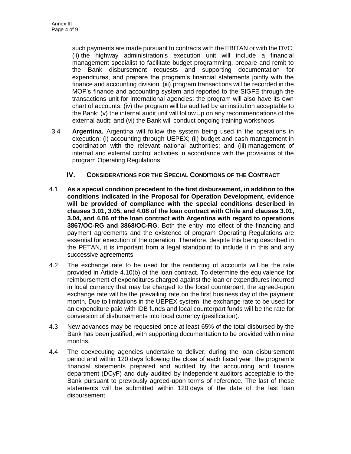such payments are made pursuant to contracts with the EBITAN or with the DVC; (ii) the highway administration's execution unit will include a financial management specialist to facilitate budget programming, prepare and remit to the Bank disbursement requests and supporting documentation for expenditures, and prepare the program's financial statements jointly with the finance and accounting division; (iii) program transactions will be recorded in the MOP's finance and accounting system and reported to the SIGFE through the transactions unit for international agencies; the program will also have its own chart of accounts; (iv) the program will be audited by an institution acceptable to the Bank; (v) the internal audit unit will follow up on any recommendations of the external audit; and (vi) the Bank will conduct ongoing training workshops.

3.4 **Argentina.** Argentina will follow the system being used in the operations in execution: (i) accounting through UEPEX; (ii) budget and cash management in coordination with the relevant national authorities; and (iii) management of internal and external control activities in accordance with the provisions of the program Operating Regulations.

## **IV. CONSIDERATIONS FOR THE SPECIAL CONDITIONS OF THE CONTRACT**

- 4.1 **As a special condition precedent to the first disbursement, in addition to the conditions indicated in the Proposal for Operation Development, evidence will be provided of compliance with the special conditions described in clauses 3.01, 3.05, and 4.08 of the loan contract with Chile and clauses 3.01, 3.04, and 4.06 of the loan contract with Argentina with regard to operations 3867/OC-RG and 3868/OC-RG**. Both the entry into effect of the financing and payment agreements and the existence of program Operating Regulations are essential for execution of the operation. Therefore, despite this being described in the PETAN, it is important from a legal standpoint to include it in this and any successive agreements.
- 4.2 The exchange rate to be used for the rendering of accounts will be the rate provided in Article 4.10(b) of the loan contract. To determine the equivalence for reimbursement of expenditures charged against the loan or expenditures incurred in local currency that may be charged to the local counterpart, the agreed-upon exchange rate will be the prevailing rate on the first business day of the payment month. Due to limitations in the UEPEX system, the exchange rate to be used for an expenditure paid with IDB funds and local counterpart funds will be the rate for conversion of disbursements into local currency (pesification).
- 4.3 New advances may be requested once at least 65% of the total disbursed by the Bank has been justified, with supporting documentation to be provided within nine months.
- <span id="page-29-0"></span>4.4 The coexecuting agencies undertake to deliver, during the loan disbursement period and within 120 days following the close of each fiscal year, the program's financial statements prepared and audited by the accounting and finance department (DCyF) and duly audited by independent auditors acceptable to the Bank pursuant to previously agreed-upon terms of reference. The last of these statements will be submitted within 120 days of the date of the last loan disbursement.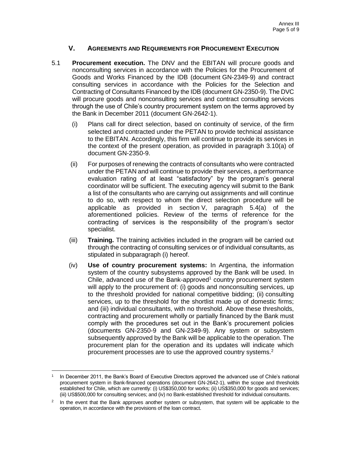# **V. AGREEMENTS AND REQUIREMENTS FOR PROCUREMENT EXECUTION**

- <span id="page-30-0"></span>5.1 **Procurement execution.** The DNV and the EBITAN will procure goods and nonconsulting services in accordance with the Policies for the Procurement of Goods and Works Financed by the IDB (document GN-2349-9) and contract consulting services in accordance with the Policies for the Selection and Contracting of Consultants Financed by the IDB (document GN-2350-9). The DVC will procure goods and nonconsulting services and contract consulting services through the use of Chile's country procurement system on the terms approved by the Bank in December 2011 (document GN-2642-1).
	- (i) Plans call for direct selection, based on continuity of service, of the firm selected and contracted under the PETAN to provide technical assistance to the EBITAN. Accordingly, this firm will continue to provide its services in the context of the present operation, as provided in paragraph 3.10(a) of document GN-2350-9.
	- (ii) For purposes of renewing the contracts of consultants who were contracted under the PETAN and will continue to provide their services, a performance evaluation rating of at least "satisfactory" by the program's general coordinator will be sufficient. The executing agency will submit to the Bank a list of the consultants who are carrying out assignments and will continue to do so, with respect to whom the direct selection procedure will be applicable as provided in section V, paragraph 5.4(a) of the aforementioned policies. Review of the terms of reference for the contracting of services is the responsibility of the program's sector specialist.
	- (iii) **Training.** The training activities included in the program will be carried out through the contracting of consulting services or of individual consultants, as stipulated in subparagraph [\(i\)](#page-30-0) hereof.
	- (iv) **Use of country procurement systems:** In Argentina, the information system of the country subsystems approved by the Bank will be used. In Chile, advanced use of the Bank-approved<sup>1</sup> country procurement system will apply to the procurement of: (i) goods and nonconsulting services, up to the threshold provided for national competitive bidding; (ii) consulting services, up to the threshold for the shortlist made up of domestic firms; and (iii) individual consultants, with no threshold. Above these thresholds, contracting and procurement wholly or partially financed by the Bank must comply with the procedures set out in the Bank's procurement policies (documents GN-2350-9 and GN-2349-9). Any system or subsystem subsequently approved by the Bank will be applicable to the operation. The procurement plan for the operation and its updates will indicate which procurement processes are to use the approved country systems.<sup>2</sup>

 $\overline{a}$ 

<sup>1</sup> In December 2011, the Bank's Board of Executive Directors approved the advanced use of Chile's national procurement system in Bank-financed operations (document GN-2642-1), within the scope and thresholds established for Chile, which are currently: (i) US\$350,000 for works; (ii) US\$350,000 for goods and services; (iii) US\$500,000 for consulting services; and (iv) no Bank-established threshold for individual consultants.

<sup>2</sup> In the event that the Bank approves another system or subsystem, that system will be applicable to the operation, in accordance with the provisions of the loan contract.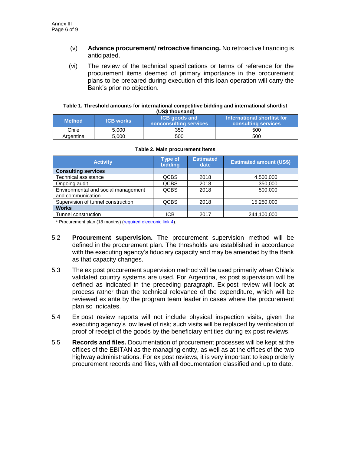- (v) **Advance procurement/ retroactive financing.** No retroactive financing is anticipated.
- (vi) The review of the technical specifications or terms of reference for the procurement items deemed of primary importance in the procurement plans to be prepared during execution of this loan operation will carry the Bank's prior no objection.

#### **Table 1. Threshold amounts for international competitive bidding and international shortlist (US\$ thousand)**

| ו טטש נווטעווען |                  |                                                |                                                           |  |  |
|-----------------|------------------|------------------------------------------------|-----------------------------------------------------------|--|--|
| <b>Method</b>   | <b>ICB works</b> | <b>ICB</b> goods and<br>nonconsulting services | International shortlist for<br><b>consulting services</b> |  |  |
| Chile           | 5.000            | 350                                            | 500                                                       |  |  |
| Argentina       | 5.000            | 500                                            | 500                                                       |  |  |

| <b>Activity</b>                     | <b>Type of</b><br><b>bidding</b> | <b>Estimated</b><br>date | <b>Estimated amount (US\$)</b> |
|-------------------------------------|----------------------------------|--------------------------|--------------------------------|
| <b>Consulting services</b>          |                                  |                          |                                |
| Technical assistance                | <b>QCBS</b>                      | 2018                     | 4,500,000                      |
| Ongoing audit                       | <b>QCBS</b>                      | 2018                     | 350,000                        |
| Environmental and social management | <b>QCBS</b>                      | 2018                     | 500,000                        |
| and communication                   |                                  |                          |                                |
| Supervision of tunnel construction  | <b>QCBS</b>                      | 2018                     | 15,250,000                     |
| <b>Works</b>                        |                                  |                          |                                |
| Tunnel construction                 | <b>ICB</b>                       | 2017                     | 244,100,000                    |

#### **Table 2. Main procurement items**

\* Procurement plan (18 months) [\(required electronic link](https://idbg.sharepoint.com/teams/EZ-RG-LON/RG-L1116/_layouts/15/DocIdRedir.aspx?ID=EZSHARE-915975238-92) 4).

- 5.2 **Procurement supervision.** The procurement supervision method will be defined in the procurement plan. The thresholds are established in accordance with the executing agency's fiduciary capacity and may be amended by the Bank as that capacity changes.
- 5.3 The ex post procurement supervision method will be used primarily when Chile's validated country systems are used. For Argentina, ex post supervision will be defined as indicated in the preceding paragraph. Ex post review will look at process rather than the technical relevance of the expenditure, which will be reviewed ex ante by the program team leader in cases where the procurement plan so indicates.
- 5.4 Ex post review reports will not include physical inspection visits, given the executing agency's low level of risk; such visits will be replaced by verification of proof of receipt of the goods by the beneficiary entities during ex post reviews.
- 5.5 **Records and files.** Documentation of procurement processes will be kept at the offices of the EBITAN as the managing entity, as well as at the offices of the two highway administrations. For ex post reviews, it is very important to keep orderly procurement records and files, with all documentation classified and up to date.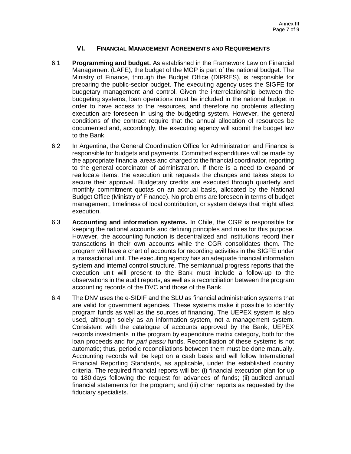# **VI. FINANCIAL MANAGEMENT AGREEMENTS AND REQUIREMENTS**

- 6.1 **Programming and budget.** As established in the Framework Law on Financial Management (LAFE), the budget of the MOP is part of the national budget. The Ministry of Finance, through the Budget Office (DIPRES), is responsible for preparing the public-sector budget. The executing agency uses the SIGFE for budgetary management and control. Given the interrelationship between the budgeting systems, loan operations must be included in the national budget in order to have access to the resources, and therefore no problems affecting execution are foreseen in using the budgeting system. However, the general conditions of the contract require that the annual allocation of resources be documented and, accordingly, the executing agency will submit the budget law to the Bank.
- 6.2 In Argentina, the General Coordination Office for Administration and Finance is responsible for budgets and payments. Committed expenditures will be made by the appropriate financial areas and charged to the financial coordinator, reporting to the general coordinator of administration. If there is a need to expand or reallocate items, the execution unit requests the changes and takes steps to secure their approval. Budgetary credits are executed through quarterly and monthly commitment quotas on an accrual basis, allocated by the National Budget Office (Ministry of Finance). No problems are foreseen in terms of budget management, timeliness of local contribution, or system delays that might affect execution.
- 6.3 **Accounting and information systems.** In Chile, the CGR is responsible for keeping the national accounts and defining principles and rules for this purpose. However, the accounting function is decentralized and institutions record their transactions in their own accounts while the CGR consolidates them. The program will have a chart of accounts for recording activities in the SIGFE under a transactional unit. The executing agency has an adequate financial information system and internal control structure. The semiannual progress reports that the execution unit will present to the Bank must include a follow-up to the observations in the audit reports, as well as a reconciliation between the program accounting records of the DVC and those of the Bank.
- 6.4 The DNV uses the e-SIDIF and the SLU as financial administration systems that are valid for government agencies. These systems make it possible to identify program funds as well as the sources of financing. The UEPEX system is also used, although solely as an information system, not a management system. Consistent with the catalogue of accounts approved by the Bank, UEPEX records investments in the program by expenditure matrix category, both for the loan proceeds and for *pari passu* funds. Reconciliation of these systems is not automatic; thus, periodic reconciliations between them must be done manually. Accounting records will be kept on a cash basis and will follow International Financial Reporting Standards, as applicable, under the established country criteria. The required financial reports will be: (i) financial execution plan for up to 180 days following the request for advances of funds; (ii) audited annual financial statements for the program; and (iii) other reports as requested by the fiduciary specialists.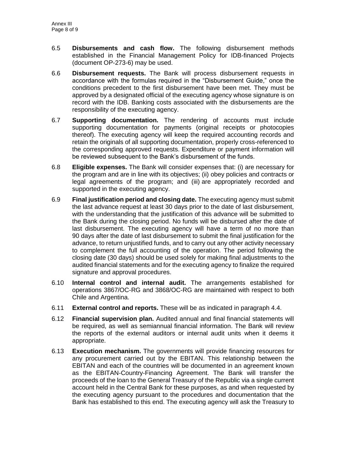- 6.5 **Disbursements and cash flow.** The following disbursement methods established in the Financial Management Policy for IDB-financed Projects (document OP-273-6) may be used.
- 6.6 **Disbursement requests.** The Bank will process disbursement requests in accordance with the formulas required in the "Disbursement Guide," once the conditions precedent to the first disbursement have been met. They must be approved by a designated official of the executing agency whose signature is on record with the IDB. Banking costs associated with the disbursements are the responsibility of the executing agency.
- 6.7 **Supporting documentation.** The rendering of accounts must include supporting documentation for payments (original receipts or photocopies thereof). The executing agency will keep the required accounting records and retain the originals of all supporting documentation, properly cross-referenced to the corresponding approved requests. Expenditure or payment information will be reviewed subsequent to the Bank's disbursement of the funds.
- 6.8 **Eligible expenses.** The Bank will consider expenses that: (i) are necessary for the program and are in line with its objectives; (ii) obey policies and contracts or legal agreements of the program; and (iii) are appropriately recorded and supported in the executing agency.
- 6.9 **Final justification period and closing date.** The executing agency must submit the last advance request at least 30 days prior to the date of last disbursement, with the understanding that the justification of this advance will be submitted to the Bank during the closing period. No funds will be disbursed after the date of last disbursement. The executing agency will have a term of no more than 90 days after the date of last disbursement to submit the final justification for the advance, to return unjustified funds, and to carry out any other activity necessary to complement the full accounting of the operation. The period following the closing date (30 days) should be used solely for making final adjustments to the audited financial statements and for the executing agency to finalize the required signature and approval procedures.
- 6.10 **Internal control and internal audit.** The arrangements established for operations 3867/OC-RG and 3868/OC-RG are maintained with respect to both Chile and Argentina.
- 6.11 **External control and reports.** These will be as indicated in paragraph [4.4.](#page-29-0)
- 6.12 **Financial supervision plan.** Audited annual and final financial statements will be required, as well as semiannual financial information. The Bank will review the reports of the external auditors or internal audit units when it deems it appropriate.
- 6.13 **Execution mechanism.** The governments will provide financing resources for any procurement carried out by the EBITAN. This relationship between the EBITAN and each of the countries will be documented in an agreement known as the EBITAN-Country-Financing Agreement. The Bank will transfer the proceeds of the loan to the General Treasury of the Republic via a single current account held in the Central Bank for these purposes, as and when requested by the executing agency pursuant to the procedures and documentation that the Bank has established to this end. The executing agency will ask the Treasury to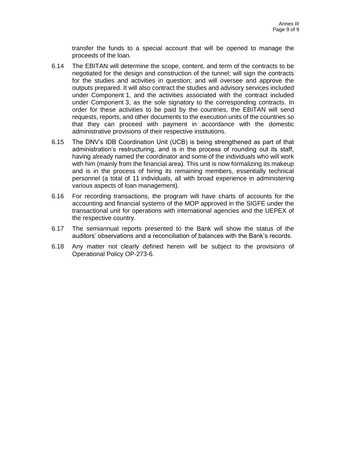transfer the funds to a special account that will be opened to manage the proceeds of the loan.

- 6.14 The EBITAN will determine the scope, content, and term of the contracts to be negotiated for the design and construction of the tunnel; will sign the contracts for the studies and activities in question; and will oversee and approve the outputs prepared. It will also contract the studies and advisory services included under Component 1, and the activities associated with the contract included under Component 3, as the sole signatory to the corresponding contracts. In order for these activities to be paid by the countries, the EBITAN will send requests, reports, and other documents to the execution units of the countries so that they can proceed with payment in accordance with the domestic administrative provisions of their respective institutions.
- 6.15 The DNV's IDB Coordination Unit (UCB) is being strengthened as part of that administration's restructuring, and is in the process of rounding out its staff, having already named the coordinator and some of the individuals who will work with him (mainly from the financial area). This unit is now formalizing its makeup and is in the process of hiring its remaining members, essentially technical personnel (a total of 11 individuals, all with broad experience in administering various aspects of loan management).
- 6.16 For recording transactions, the program will have charts of accounts for the accounting and financial systems of the MOP approved in the SIGFE under the transactional unit for operations with international agencies and the UEPEX of the respective country.
- 6.17 The semiannual reports presented to the Bank will show the status of the auditors' observations and a reconciliation of balances with the Bank's records.
- 6.18 Any matter not clearly defined herein will be subject to the provisions of Operational Policy OP-273-6.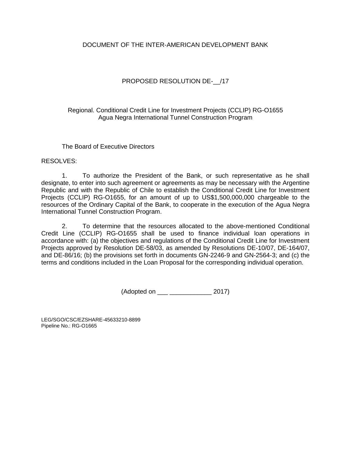# DOCUMENT OF THE INTER-AMERICAN DEVELOPMENT BANK

# PROPOSED RESOLUTION DE- /17

Regional. Conditional Credit Line for Investment Projects (CCLIP) RG-O1655 Agua Negra International Tunnel Construction Program

The Board of Executive Directors

RESOLVES:

1. To authorize the President of the Bank, or such representative as he shall designate, to enter into such agreement or agreements as may be necessary with the Argentine Republic and with the Republic of Chile to establish the Conditional Credit Line for Investment Projects (CCLIP) RG-O1655, for an amount of up to US\$1,500,000,000 chargeable to the resources of the Ordinary Capital of the Bank, to cooperate in the execution of the Agua Negra International Tunnel Construction Program.

2. To determine that the resources allocated to the above-mentioned Conditional Credit Line (CCLIP) RG-O1655 shall be used to finance individual loan operations in accordance with: (a) the objectives and regulations of the Conditional Credit Line for Investment Projects approved by Resolution DE-58/03, as amended by Resolutions DE-10/07, DE-164/07, and DE-86/16; (b) the provisions set forth in documents GN-2246-9 and GN-2564-3; and (c) the terms and conditions included in the Loan Proposal for the corresponding individual operation.

(Adopted on \_\_\_ \_\_\_\_\_\_\_\_\_\_\_\_ 2017)

LEG/SGO/CSC[/EZSHARE-4](https://idbg.sharepoint.com/teams/ez-LEG/Operations/_layouts/15/DocIdRedir.aspx?ID=EZSHARE-1044359933-1920)5633210-8899 Pipeline No.: RG-O1665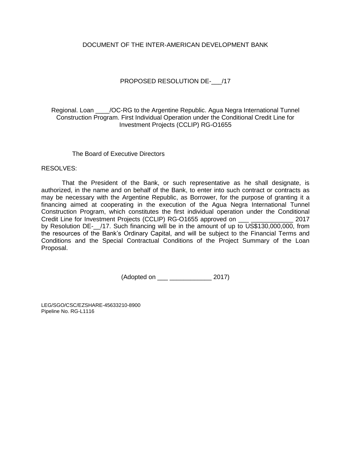## DOCUMENT OF THE INTER-AMERICAN DEVELOPMENT BANK

# PROPOSED RESOLUTION DE- /17

Regional. Loan \_\_\_\_/OC-RG to the Argentine Republic. Agua Negra International Tunnel Construction Program. First Individual Operation under the Conditional Credit Line for Investment Projects (CCLIP) RG-O1655

### The Board of Executive Directors

### RESOLVES:

That the President of the Bank, or such representative as he shall designate, is authorized, in the name and on behalf of the Bank, to enter into such contract or contracts as may be necessary with the Argentine Republic, as Borrower, for the purpose of granting it a financing aimed at cooperating in the execution of the Agua Negra International Tunnel Construction Program, which constitutes the first individual operation under the Conditional Credit Line for Investment Projects (CCLIP) RG-O1655 approved on \_\_\_ \_\_\_\_\_\_\_\_\_\_\_\_ 2017 by Resolution DE-\_\_/17. Such financing will be in the amount of up to US\$130,000,000, from the resources of the Bank's Ordinary Capital, and will be subject to the Financial Terms and Conditions and the Special Contractual Conditions of the Project Summary of the Loan Proposal.

(Adopted on \_\_\_ \_\_\_\_\_\_\_\_\_\_\_\_ 2017)

LEG/SGO/CSC[/EZSHARE-4](https://idbg.sharepoint.com/teams/ez-LEG/Operations/_layouts/15/DocIdRedir.aspx?ID=EZSHARE-1044359933-1919)5633210-8900 Pipeline No. RG-L1116